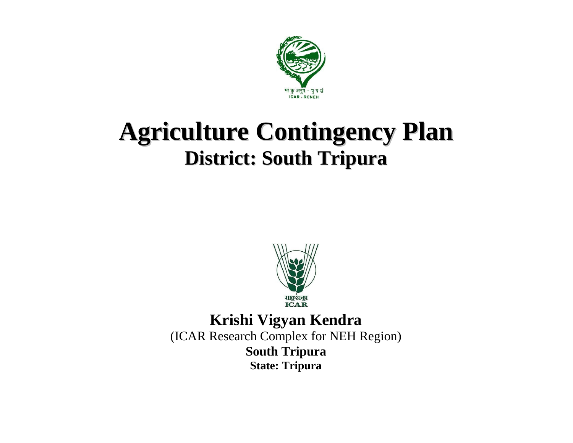

# **Agriculture Contingency Plan District: South Tripura**



**Krishi Vigyan Kendra** (ICAR Research Complex for NEH Region) **South Tripura State: Tripura**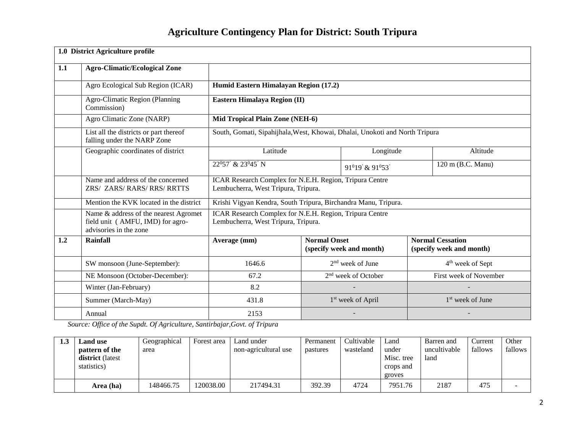# **Agriculture Contingency Plan for District: South Tripura**

|     | 1.0 District Agriculture profile                                                                    |                                                                                                |                                                                             |                                           |                         |                              |  |  |
|-----|-----------------------------------------------------------------------------------------------------|------------------------------------------------------------------------------------------------|-----------------------------------------------------------------------------|-------------------------------------------|-------------------------|------------------------------|--|--|
| 1.1 | <b>Agro-Climatic/Ecological Zone</b>                                                                |                                                                                                |                                                                             |                                           |                         |                              |  |  |
|     | Agro Ecological Sub Region (ICAR)                                                                   | Humid Eastern Himalayan Region (17.2)                                                          |                                                                             |                                           |                         |                              |  |  |
|     | Agro-Climatic Region (Planning<br>Commission)                                                       |                                                                                                | Eastern Himalaya Region (II)                                                |                                           |                         |                              |  |  |
|     | Agro Climatic Zone (NARP)                                                                           |                                                                                                | Mid Tropical Plain Zone (NEH-6)                                             |                                           |                         |                              |  |  |
|     | List all the districts or part thereof<br>falling under the NARP Zone                               |                                                                                                | South, Gomati, Sipahijhala, West, Khowai, Dhalai, Unokoti and North Tripura |                                           |                         |                              |  |  |
|     | Geographic coordinates of district                                                                  | Latitude                                                                                       |                                                                             | Longitude                                 |                         | Altitude                     |  |  |
|     |                                                                                                     | 22°57' & 23°45' N                                                                              |                                                                             | 91 <sup>0</sup> 19' & 91 <sup>0</sup> 53' |                         | 120 m (B.C. Manu)            |  |  |
|     | Name and address of the concerned<br>ZRS/ ZARS/ RARS/ RRS/ RRTTS                                    | ICAR Research Complex for N.E.H. Region, Tripura Centre<br>Lembucherra, West Tripura, Tripura. |                                                                             |                                           |                         |                              |  |  |
|     | Mention the KVK located in the district                                                             | Krishi Vigyan Kendra, South Tripura, Birchandra Manu, Tripura.                                 |                                                                             |                                           |                         |                              |  |  |
|     | Name & address of the nearest Agromet<br>field unit (AMFU, IMD) for agro-<br>advisories in the zone | ICAR Research Complex for N.E.H. Region, Tripura Centre<br>Lembucherra, West Tripura, Tripura. |                                                                             |                                           |                         |                              |  |  |
| 1.2 | Rainfall                                                                                            | Average (mm)                                                                                   | <b>Normal Onset</b>                                                         | (specify week and month)                  | <b>Normal Cessation</b> | (specify week and month)     |  |  |
|     | SW monsoon (June-September):                                                                        | 1646.6                                                                                         |                                                                             | $2nd$ week of June                        |                         | 4 <sup>th</sup> week of Sept |  |  |
|     | NE Monsoon (October-December):                                                                      | 67.2                                                                                           |                                                                             | 2 <sup>nd</sup> week of October           |                         | First week of November       |  |  |
|     | Winter (Jan-February)                                                                               | 8.2                                                                                            |                                                                             |                                           |                         |                              |  |  |
|     | Summer (March-May)                                                                                  | 431.8                                                                                          |                                                                             | 1 <sup>st</sup> week of April             |                         | 1 <sup>st</sup> week of June |  |  |
|     | Annual                                                                                              | 2153                                                                                           |                                                                             |                                           |                         |                              |  |  |

*Source: Office of the Supdt. Of Agriculture, Santirbajar,Govt. of Tripura* 

| 1. . J | <b>Land</b> use<br>pattern of the<br>district (latest<br>statistics) | Geographical<br>area | Forest area | Land under<br>non-agricultural use | Permanent<br>pastures | Cultivable<br>wasteland | Land<br>under<br>Misc. tree<br>crops and<br>groves | Barren and<br>uncultivable<br>land | Current<br>fallows | Other<br>fallows |
|--------|----------------------------------------------------------------------|----------------------|-------------|------------------------------------|-----------------------|-------------------------|----------------------------------------------------|------------------------------------|--------------------|------------------|
|        | Area (ha)                                                            | 148466.75            | 120038.00   | 217494.31                          | 392.39                | 4724                    | 7951.76                                            | 2187                               | 475                | -                |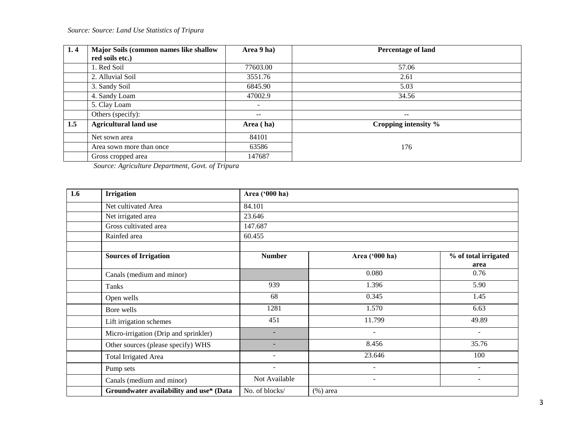# *Source: Source: Land Use Statistics of Tripura*

| 1.4 | Major Soils (common names like shallow | Area 9 ha) | Percentage of land       |
|-----|----------------------------------------|------------|--------------------------|
|     | red soils etc.)                        |            |                          |
|     | 1. Red Soil                            | 77603.00   | 57.06                    |
|     | 2. Alluvial Soil                       | 3551.76    | 2.61                     |
|     | 3. Sandy Soil                          | 6845.90    | 5.03                     |
|     | 4. Sandy Loam                          | 47002.9    | 34.56                    |
|     | 5. Clay Loam                           |            |                          |
|     | Others (specify):                      | --         | $\overline{\phantom{m}}$ |
| 1.5 | <b>Agricultural land use</b>           | Area (ha)  | Cropping intensity %     |
|     | Net sown area                          | 84101      |                          |
|     | Area sown more than once               | 63586      | 176                      |
|     | Gross cropped area                     | 147687     |                          |

*Source: Agriculture Department, Govt. of Tripura* 

| 1.6 | <b>Irrigation</b>                       | Area ('000 ha)           |                          |                              |
|-----|-----------------------------------------|--------------------------|--------------------------|------------------------------|
|     | Net cultivated Area                     | 84.101                   |                          |                              |
|     | Net irrigated area                      | 23.646                   |                          |                              |
|     | Gross cultivated area                   | 147.687                  |                          |                              |
|     | Rainfed area                            | 60.455                   |                          |                              |
|     | <b>Sources of Irrigation</b>            | <b>Number</b>            | Area ('000 ha)           | % of total irrigated<br>area |
|     | Canals (medium and minor)               |                          | 0.080                    | 0.76                         |
|     | Tanks                                   | 939                      | 1.396                    | 5.90                         |
|     | Open wells                              | 68                       | 0.345                    | 1.45                         |
|     | Bore wells                              | 1281                     | 1.570                    | 6.63                         |
|     | Lift irrigation schemes                 | 451                      | 11.799                   | 49.89                        |
|     | Micro-irrigation (Drip and sprinkler)   | ٠                        | $\overline{a}$           | $\blacksquare$               |
|     | Other sources (please specify) WHS      | $\overline{\phantom{a}}$ | 8.456                    | 35.76                        |
|     | <b>Total Irrigated Area</b>             | $\overline{\phantom{a}}$ | 23.646                   | 100                          |
|     | Pump sets                               | $\blacksquare$           | $\overline{\phantom{0}}$ | $\overline{\phantom{a}}$     |
|     | Canals (medium and minor)               | Not Available            |                          |                              |
|     | Groundwater availability and use* (Data | No. of blocks/           | $(\%)$ area              |                              |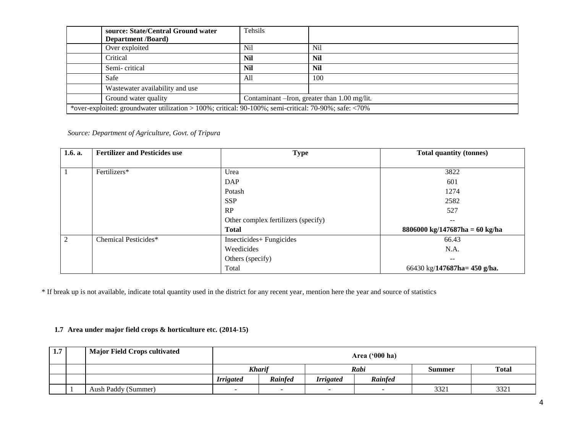|      | source: State/Central Ground water<br><b>Department</b> /Board)                                       | Tehsils                                      |                 |
|------|-------------------------------------------------------------------------------------------------------|----------------------------------------------|-----------------|
|      | Over exploited                                                                                        | Nil                                          | N <sub>il</sub> |
|      | Critical                                                                                              | Nil                                          | Nil             |
|      | Semi-critical                                                                                         | Nil                                          | <b>Nil</b>      |
| Safe |                                                                                                       | All                                          | 100             |
|      | Wastewater availability and use                                                                       |                                              |                 |
|      | Ground water quality                                                                                  | Contaminant –Iron, greater than 1.00 mg/lit. |                 |
|      | *over-exploited: groundwater utilization > 100%; critical: 90-100%; semi-critical: 70-90%; safe: <70% |                                              |                 |

*Source: Department of Agriculture, Govt. of Tripura*

| 1.6. a.        | <b>Fertilizer and Pesticides use</b> | <b>Type</b>                         | <b>Total quantity (tonnes)</b> |
|----------------|--------------------------------------|-------------------------------------|--------------------------------|
|                |                                      |                                     |                                |
|                | Fertilizers*                         | Urea                                | 3822                           |
|                |                                      | DAP                                 | 601                            |
|                |                                      | Potash                              | 1274                           |
|                |                                      | <b>SSP</b>                          | 2582                           |
|                |                                      | RP                                  | 527                            |
|                |                                      | Other complex fertilizers (specify) | $- -$                          |
|                |                                      | <b>Total</b>                        | 8806000 kg/147687ha = 60 kg/ha |
| $\mathfrak{D}$ | Chemical Pesticides*                 | Insecticides+ Fungicides            | 66.43                          |
|                |                                      | Weedicides                          | N.A.                           |
|                |                                      | Others (specify)                    | $- -$                          |
|                |                                      | Total                               | 66430 kg/147687ha= 450 g/ha.   |

\* If break up is not available, indicate total quantity used in the district for any recent year, mention here the year and source of statistics

#### **1.7 Area under major field crops & horticulture etc. (2014-15)**

| -1.1 | <b>Major Field Crops cultivated</b> |                       | Area $('000 ha)$ |                  |                          |              |      |
|------|-------------------------------------|-----------------------|------------------|------------------|--------------------------|--------------|------|
|      |                                     | <b>Kharif</b><br>Rabi |                  |                  | Summer                   | <b>Total</b> |      |
|      |                                     | <b>Irrigated</b>      | <b>Rainfed</b>   | <i>Irrigated</i> | <b>Rainfed</b>           |              |      |
|      | Aush Paddy (Summer)                 | -                     |                  |                  | $\overline{\phantom{a}}$ | 3321         | 3321 |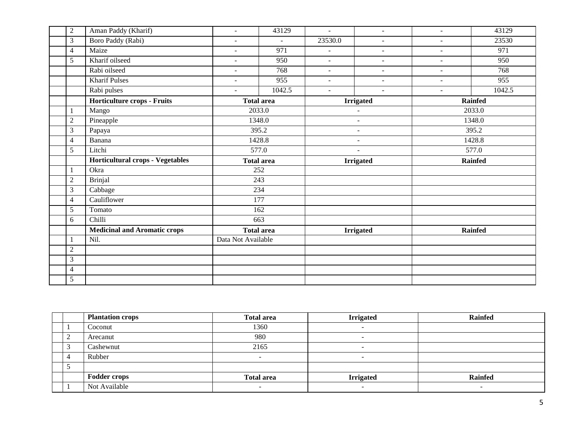| $\overline{2}$ | Aman Paddy (Kharif)                     | $\blacksquare$           | 43129             | $\overline{\phantom{a}}$ | $\sim$                   | $\blacksquare$           | 43129          |  |
|----------------|-----------------------------------------|--------------------------|-------------------|--------------------------|--------------------------|--------------------------|----------------|--|
| 3              | <b>Boro Paddy (Rabi)</b>                | $\blacksquare$           | $\blacksquare$    | 23530.0                  | $\blacksquare$           | $\blacksquare$           | 23530          |  |
| $\overline{4}$ | Maize                                   | $\overline{\phantom{a}}$ | 971               | $\sim$                   | $\blacksquare$           | ٠                        | 971            |  |
| 5              | Kharif oilseed                          | $\overline{\phantom{a}}$ | 950               | $\blacksquare$           | $\sim$                   | $\overline{\phantom{a}}$ | 950            |  |
|                | Rabi oilseed                            | $\blacksquare$           | 768               | $\blacksquare$           | $\overline{\phantom{a}}$ | $\overline{\phantom{m}}$ | 768            |  |
|                | <b>Kharif Pulses</b>                    | $\blacksquare$           | 955               | $\sim$                   | $\blacksquare$           | ٠                        | 955            |  |
|                | Rabi pulses                             | $\blacksquare$           | 1042.5            | $\blacksquare$           | $\sim$                   | $\blacksquare$           | 1042.5         |  |
|                | <b>Horticulture crops - Fruits</b>      |                          | <b>Total area</b> |                          | <b>Irrigated</b>         |                          | <b>Rainfed</b> |  |
|                | Mango                                   |                          | 2033.0            |                          | ÷,                       |                          | 2033.0         |  |
| $\overline{2}$ | Pineapple                               |                          | 1348.0            |                          | $\blacksquare$           |                          | 1348.0         |  |
| 3              | Papaya                                  |                          | 395.2             |                          | $\blacksquare$           |                          | 395.2          |  |
| 4              | Banana                                  |                          | 1428.8            |                          | $\overline{\phantom{a}}$ |                          | 1428.8         |  |
| 5              | Litchi                                  |                          | 577.0             | $\overline{a}$           |                          | 577.0                    |                |  |
|                |                                         | <b>Total area</b>        |                   | <b>Irrigated</b>         |                          |                          |                |  |
|                | <b>Horticultural crops - Vegetables</b> |                          |                   |                          |                          |                          | <b>Rainfed</b> |  |
|                | Okra                                    |                          | 252               |                          |                          |                          |                |  |
| $\overline{2}$ | <b>Brinjal</b>                          |                          | 243               |                          |                          |                          |                |  |
| 3              | Cabbage                                 |                          | 234               |                          |                          |                          |                |  |
| 4              | Cauliflower                             |                          | 177               |                          |                          |                          |                |  |
| 5              | Tomato                                  |                          | 162               |                          |                          |                          |                |  |
| 6              | Chilli                                  |                          | 663               |                          |                          |                          |                |  |
|                | <b>Medicinal and Aromatic crops</b>     |                          | <b>Total area</b> |                          | <b>Irrigated</b>         |                          | <b>Rainfed</b> |  |
|                | Nil.                                    | Data Not Available       |                   |                          |                          |                          |                |  |
| $\overline{2}$ |                                         |                          |                   |                          |                          |                          |                |  |
| 3              |                                         |                          |                   |                          |                          |                          |                |  |
| $\overline{4}$ |                                         |                          |                   |                          |                          |                          |                |  |

|        | <b>Plantation crops</b> | <b>Total area</b>        | <b>Irrigated</b> | <b>Rainfed</b> |
|--------|-------------------------|--------------------------|------------------|----------------|
|        | Coconut                 | 1360                     |                  |                |
| $\sim$ | Arecanut                | 980                      |                  |                |
|        | Cashewnut               | 2165                     |                  |                |
| 4      | Rubber                  | $\overline{\phantom{0}}$ | -                |                |
|        |                         |                          |                  |                |
|        | <b>Fodder crops</b>     | <b>Total area</b>        | <b>Irrigated</b> | <b>Rainfed</b> |
|        | Not Available           | $\sim$                   |                  | -              |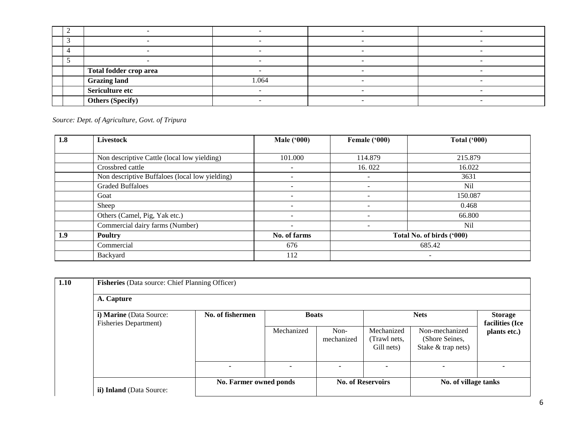|  |                         | $\sim$ |  |
|--|-------------------------|--------|--|
|  | Total fodder crop area  | -      |  |
|  | <b>Grazing land</b>     | .064   |  |
|  | <b>Sericulture etc</b>  |        |  |
|  | <b>Others (Specify)</b> |        |  |

 *Source: Dept. of Agriculture, Govt. of Tripura*

| 1.8 | <b>Livestock</b>                               | <b>Male ('000)</b>       | Female ('000)            | Total $(900)$             |
|-----|------------------------------------------------|--------------------------|--------------------------|---------------------------|
|     |                                                |                          |                          |                           |
|     | Non descriptive Cattle (local low yielding)    | 101.000                  | 114.879                  | 215.879                   |
|     | Crossbred cattle                               |                          | 16.022                   | 16.022                    |
|     | Non descriptive Buffaloes (local low yielding) | $\overline{\phantom{a}}$ | $\overline{\phantom{a}}$ | 3631                      |
|     | <b>Graded Buffaloes</b>                        |                          | $\overline{\phantom{0}}$ | Nil                       |
|     | Goat                                           | $\overline{\phantom{a}}$ | $\overline{\phantom{a}}$ | 150.087                   |
|     | Sheep                                          | $\overline{\phantom{0}}$ | $\overline{\phantom{a}}$ | 0.468                     |
|     | Others (Camel, Pig, Yak etc.)                  | $\overline{\phantom{0}}$ | $\overline{\phantom{a}}$ | 66.800                    |
|     | Commercial dairy farms (Number)                | $\overline{\phantom{a}}$ | $\overline{\phantom{a}}$ | <b>Nil</b>                |
| 1.9 | <b>Poultry</b>                                 | No. of farms             |                          | Total No. of birds ('000) |
|     | Commercial                                     | 676                      |                          | 685.42                    |
|     | Backyard                                       | 112                      |                          | $\overline{\phantom{a}}$  |

| 1.10 | <b>Fisheries</b> (Data source: Chief Planning Officer)  |                        |            |                    |                                          |                                                        |                                   |  |  |
|------|---------------------------------------------------------|------------------------|------------|--------------------|------------------------------------------|--------------------------------------------------------|-----------------------------------|--|--|
|      | A. Capture                                              |                        |            |                    |                                          |                                                        |                                   |  |  |
|      | i) Marine (Data Source:<br><b>Fisheries Department)</b> | No. of fishermen       |            | <b>Boats</b>       |                                          | <b>Nets</b>                                            | <b>Storage</b><br>facilities (Ice |  |  |
|      |                                                         |                        | Mechanized | Non-<br>mechanized | Mechanized<br>(Trawl nets,<br>Gill nets) | Non-mechanized<br>(Shore Seines,<br>Stake & trap nets) | plants etc.)                      |  |  |
|      |                                                         |                        |            |                    |                                          |                                                        |                                   |  |  |
|      | ii) Inland (Data Source:                                | No. Farmer owned ponds |            |                    | <b>No. of Reservoirs</b>                 | No. of village tanks                                   |                                   |  |  |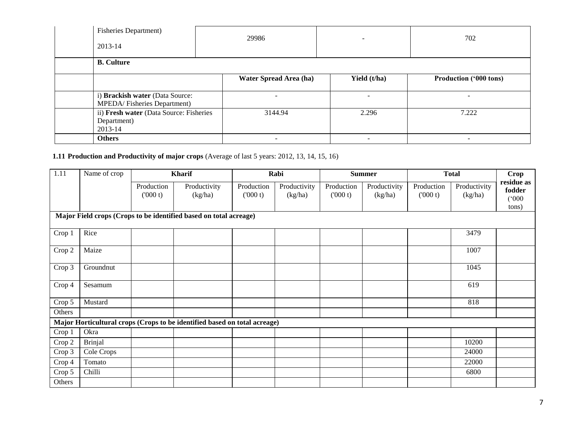| <b>Fisheries Department)</b><br>2013-14                               | 29986                    | $\overline{\phantom{0}}$ | 702                           |
|-----------------------------------------------------------------------|--------------------------|--------------------------|-------------------------------|
| <b>B.</b> Culture                                                     |                          |                          |                               |
|                                                                       | Water Spread Area (ha)   | Yield (t/ha)             | <b>Production ('000 tons)</b> |
| i) Brackish water (Data Source:<br><b>MPEDA/Fisheries Department)</b> |                          |                          | $\overline{\phantom{a}}$      |
| ii) Fresh water (Data Source: Fisheries<br>Department)<br>2013-14     | 3144.94                  | 2.296                    | 7.222                         |
| <b>Others</b>                                                         | $\overline{\phantom{a}}$ | -                        | $\overline{\phantom{a}}$      |

# **1.11 Production and Productivity of major crops** (Average of last 5 years: 2012, 13, 14, 15, 16)

| 1.11   | Name of crop                                                      | <b>Kharif</b>         |                                                                           |                       | Rabi                    |                       | <b>Summer</b>           |                       | <b>Total</b>            | Crop                                   |  |
|--------|-------------------------------------------------------------------|-----------------------|---------------------------------------------------------------------------|-----------------------|-------------------------|-----------------------|-------------------------|-----------------------|-------------------------|----------------------------------------|--|
|        |                                                                   | Production<br>(000 t) | Productivity<br>(kg/ha)                                                   | Production<br>(000 t) | Productivity<br>(kg/ha) | Production<br>(000 t) | Productivity<br>(kg/ha) | Production<br>(000 t) | Productivity<br>(kg/ha) | residue as<br>fodder<br>(000)<br>tons) |  |
|        | Major Field crops (Crops to be identified based on total acreage) |                       |                                                                           |                       |                         |                       |                         |                       |                         |                                        |  |
| Crop 1 | Rice                                                              |                       |                                                                           |                       |                         |                       |                         |                       | 3479                    |                                        |  |
| Crop 2 | Maize                                                             |                       |                                                                           |                       |                         |                       |                         |                       | 1007                    |                                        |  |
| Crop 3 | Groundnut                                                         |                       |                                                                           |                       |                         |                       |                         |                       | 1045                    |                                        |  |
| Crop 4 | Sesamum                                                           |                       |                                                                           |                       |                         |                       |                         |                       | 619                     |                                        |  |
| Crop 5 | Mustard                                                           |                       |                                                                           |                       |                         |                       |                         |                       | 818                     |                                        |  |
| Others |                                                                   |                       |                                                                           |                       |                         |                       |                         |                       |                         |                                        |  |
|        |                                                                   |                       | Major Horticultural crops (Crops to be identified based on total acreage) |                       |                         |                       |                         |                       |                         |                                        |  |
| Crop 1 | Okra                                                              |                       |                                                                           |                       |                         |                       |                         |                       |                         |                                        |  |
| Crop 2 | <b>Brinjal</b>                                                    |                       |                                                                           |                       |                         |                       |                         |                       | 10200                   |                                        |  |
| Crop 3 | Cole Crops                                                        |                       |                                                                           |                       |                         |                       |                         |                       | 24000                   |                                        |  |
| Crop 4 | Tomato                                                            |                       |                                                                           |                       |                         |                       |                         |                       | 22000                   |                                        |  |
| Crop 5 | Chilli                                                            |                       |                                                                           |                       |                         |                       |                         |                       | 6800                    |                                        |  |
| Others |                                                                   |                       |                                                                           |                       |                         |                       |                         |                       |                         |                                        |  |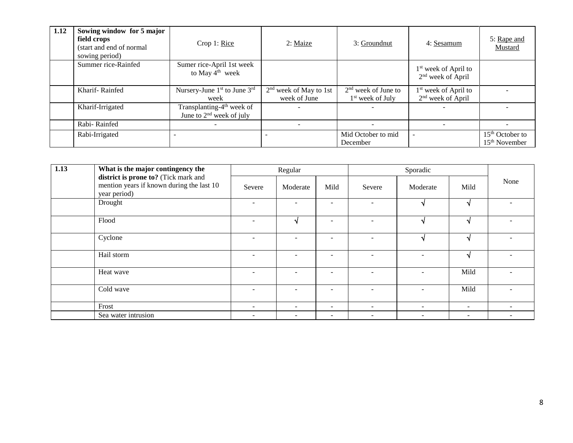| 1.12 | Sowing window for 5 major<br>field crops<br>(start and end of normal<br>sowing period) | Crop 1: Rice                                                        | 2: Maize                                 | 3: Groundnut                                | 4: Sesamum                                                        | 5: Rape and<br>Mustard                         |
|------|----------------------------------------------------------------------------------------|---------------------------------------------------------------------|------------------------------------------|---------------------------------------------|-------------------------------------------------------------------|------------------------------------------------|
|      | Summer rice-Rainfed                                                                    | Sumer rice-April 1st week<br>to May $4th$ week                      |                                          |                                             | 1 <sup>st</sup> week of April to<br>2 <sup>nd</sup> week of April |                                                |
|      | Kharif-Rainfed                                                                         | Nursery-June 1 <sup>st</sup> to June 3 <sup>rd</sup><br>week        | $2nd$ week of May to 1st<br>week of June | $2nd$ week of June to<br>$1st$ week of July | 1 <sup>st</sup> week of April to<br>$2nd$ week of April           |                                                |
|      | Kharif-Irrigated                                                                       | Transplanting-4 <sup>th</sup> week of<br>June to $2nd$ week of july |                                          |                                             |                                                                   |                                                |
|      | Rabi-Rainfed                                                                           |                                                                     |                                          |                                             |                                                                   |                                                |
|      | Rabi-Irrigated                                                                         |                                                                     |                                          | Mid October to mid<br>December              |                                                                   | $15th$ October to<br>15 <sup>th</sup> November |

| 1.13 | What is the major contingency the                                                                 |                              | Regular                  |                          |                          | Sporadic                 |                          |      |  |  |
|------|---------------------------------------------------------------------------------------------------|------------------------------|--------------------------|--------------------------|--------------------------|--------------------------|--------------------------|------|--|--|
|      | district is prone to? (Tick mark and<br>mention years if known during the last 10<br>year period) | Severe                       | Moderate                 | Mild                     | Severe                   | Moderate                 | Mild                     | None |  |  |
|      | Drought                                                                                           | $\overline{\phantom{a}}$     |                          | $\overline{\phantom{a}}$ |                          | N                        | N                        |      |  |  |
|      | Flood                                                                                             |                              |                          | $\overline{\phantom{a}}$ |                          | N                        | N                        |      |  |  |
|      | Cyclone                                                                                           |                              |                          | $\overline{a}$           |                          | ٦Ι                       | ۰                        |      |  |  |
|      | Hail storm                                                                                        | $\overline{\phantom{0}}$     |                          |                          |                          |                          | N                        |      |  |  |
|      | Heat wave                                                                                         |                              |                          | $\overline{\phantom{a}}$ |                          |                          | Mild                     |      |  |  |
|      | Cold wave                                                                                         |                              |                          |                          |                          |                          | Mild                     |      |  |  |
|      | Frost                                                                                             | $\qquad \qquad \blacksquare$ | $\overline{\phantom{a}}$ | $\sim$                   | $\overline{\phantom{0}}$ | $\overline{\phantom{a}}$ | $\overline{\phantom{a}}$ |      |  |  |
|      | Sea water intrusion                                                                               | $\qquad \qquad \blacksquare$ |                          | $\overline{\phantom{0}}$ |                          | $\overline{\phantom{a}}$ | $\overline{\phantom{0}}$ |      |  |  |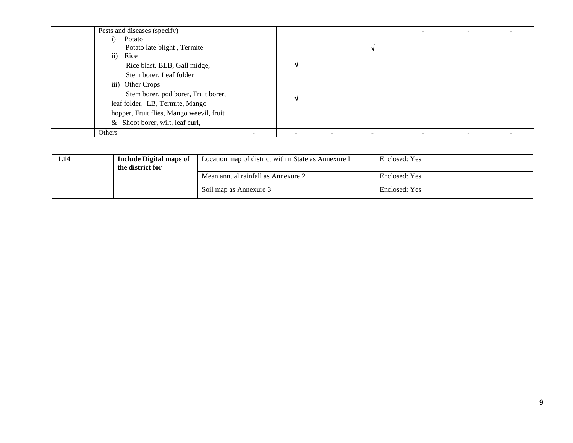| Pests and diseases (specify)             |  |  |  |  |
|------------------------------------------|--|--|--|--|
| Potato                                   |  |  |  |  |
| Potato late blight, Termite              |  |  |  |  |
| $\overline{11}$ )<br>Rice                |  |  |  |  |
| Rice blast, BLB, Gall midge,             |  |  |  |  |
| Stem borer, Leaf folder                  |  |  |  |  |
| iii) Other Crops                         |  |  |  |  |
| Stem borer, pod borer, Fruit borer,      |  |  |  |  |
| leaf folder, LB, Termite, Mango          |  |  |  |  |
| hopper, Fruit flies, Mango weevil, fruit |  |  |  |  |
| & Shoot borer, wilt, leaf curl,          |  |  |  |  |
| Others                                   |  |  |  |  |

| 1.14 | Include Digital maps of<br>the district for | Location map of district within State as Annexure I | Enclosed: Yes |
|------|---------------------------------------------|-----------------------------------------------------|---------------|
|      |                                             | Mean annual rainfall as Annexure 2                  | Enclosed: Yes |
|      |                                             | Soil map as Annexure 3                              | Enclosed: Yes |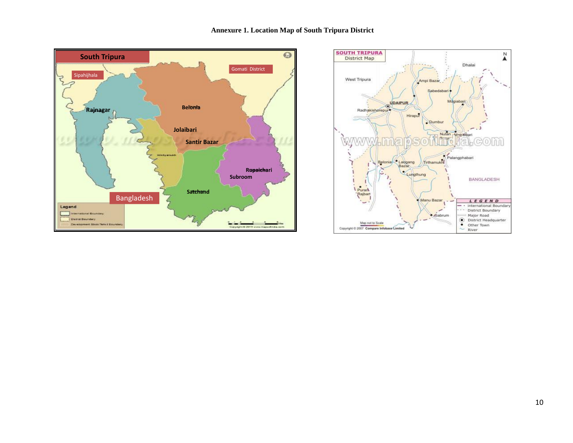

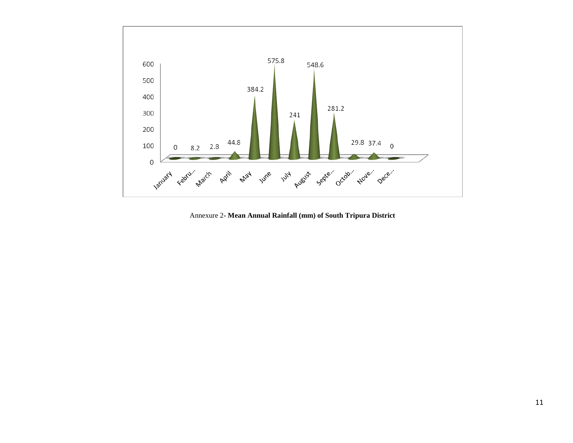

Annexure 2**- Mean Annual Rainfall (mm) of South Tripura District**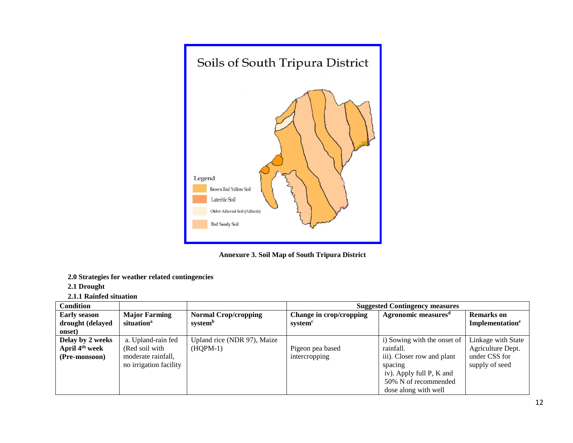

**Annexure 3. Soil Map of South Tripura District**

- **2.0 Strategies for weather related contingencies**
- **2.1 Drought**
- **2.1.1 Rainfed situation**

| <b>Condition</b>           |                        |                             | <b>Suggested Contingency measures</b> |                                 |                             |  |  |  |
|----------------------------|------------------------|-----------------------------|---------------------------------------|---------------------------------|-----------------------------|--|--|--|
| <b>Early season</b>        | <b>Major Farming</b>   | <b>Normal Crop/cropping</b> | Change in crop/cropping               | Agronomic measures <sup>d</sup> | <b>Remarks</b> on           |  |  |  |
| drought (delayed           | situation <sup>a</sup> | system <sup>b</sup>         | system <sup>c</sup>                   |                                 | Implementation <sup>e</sup> |  |  |  |
| onset)                     |                        |                             |                                       |                                 |                             |  |  |  |
| Delay by 2 weeks           | a. Upland-rain fed     | Upland rice (NDR 97), Maize |                                       | i) Sowing with the onset of     | Linkage with State          |  |  |  |
| April 4 <sup>th</sup> week | (Red soil with         | $(HOPM-1)$                  | Pigeon pea based                      | rainfall.                       | Agriculture Dept.           |  |  |  |
| (Pre-monsoon)              | moderate rainfall,     |                             | intercropping                         | iii). Closer row and plant      | under CSS for               |  |  |  |
|                            | no irrigation facility |                             |                                       | spacing                         | supply of seed              |  |  |  |
|                            |                        |                             |                                       | iv). Apply full P, K and        |                             |  |  |  |
|                            |                        |                             |                                       | 50% N of recommended            |                             |  |  |  |
|                            |                        |                             |                                       | dose along with well            |                             |  |  |  |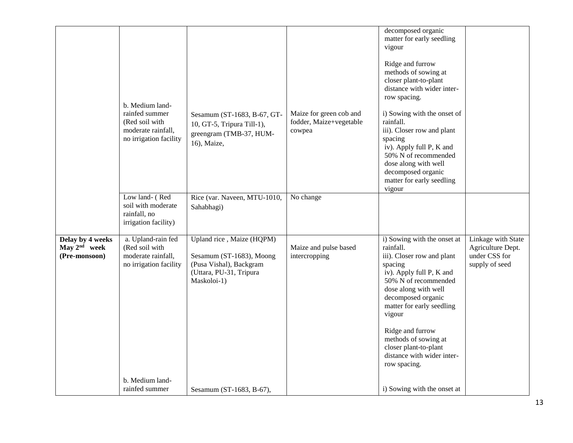|                                                               | b. Medium land-<br>rainfed summer<br>(Red soil with<br>moderate rainfall,<br>no irrigation facility | Sesamum (ST-1683, B-67, GT-<br>10, GT-5, Tripura Till-1),<br>greengram (TMB-37, HUM-<br>16), Maize,                        | Maize for green cob and<br>fodder, Maize+vegetable<br>cowpea | decomposed organic<br>matter for early seedling<br>vigour<br>Ridge and furrow<br>methods of sowing at<br>closer plant-to-plant<br>distance with wider inter-<br>row spacing.<br>i) Sowing with the onset of<br>rainfall.<br>iii). Closer row and plant<br>spacing<br>iv). Apply full P, K and<br>50% N of recommended<br>dose along with well<br>decomposed organic<br>matter for early seedling<br>vigour |                                                                            |
|---------------------------------------------------------------|-----------------------------------------------------------------------------------------------------|----------------------------------------------------------------------------------------------------------------------------|--------------------------------------------------------------|------------------------------------------------------------------------------------------------------------------------------------------------------------------------------------------------------------------------------------------------------------------------------------------------------------------------------------------------------------------------------------------------------------|----------------------------------------------------------------------------|
|                                                               | Low land- (Red<br>soil with moderate<br>rainfall, no<br>irrigation facility)                        | Rice (var. Naveen, MTU-1010,<br>Sahabhagi)                                                                                 | No change                                                    |                                                                                                                                                                                                                                                                                                                                                                                                            |                                                                            |
| Delay by 4 weeks<br>May 2 <sup>nd</sup> week<br>(Pre-monsoon) | a. Upland-rain fed<br>(Red soil with<br>moderate rainfall,<br>no irrigation facility                | Upland rice, Maize (HQPM)<br>Sesamum (ST-1683), Moong<br>(Pusa Vishal), Backgram<br>(Uttara, PU-31, Tripura<br>Maskoloi-1) | Maize and pulse based<br>intercropping                       | i) Sowing with the onset at<br>rainfall.<br>iii). Closer row and plant<br>spacing<br>iv). Apply full P, K and<br>50% N of recommended<br>dose along with well<br>decomposed organic<br>matter for early seedling<br>vigour<br>Ridge and furrow<br>methods of sowing at<br>closer plant-to-plant<br>distance with wider inter-<br>row spacing.                                                              | Linkage with State<br>Agriculture Dept.<br>under CSS for<br>supply of seed |
|                                                               | b. Medium land-<br>rainfed summer                                                                   | Sesamum (ST-1683, B-67),                                                                                                   |                                                              | i) Sowing with the onset at                                                                                                                                                                                                                                                                                                                                                                                |                                                                            |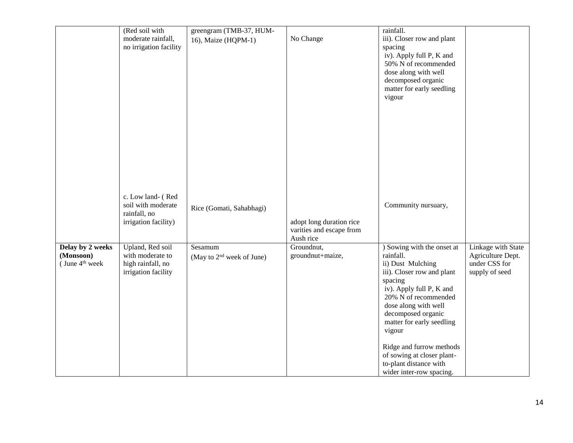|                                                      | (Red soil with                                                                   | greengram (TMB-37, HUM-                          |                                                                   | rainfall.                                                                                                                                                                                                                                                                                                                                                      |                                                                            |
|------------------------------------------------------|----------------------------------------------------------------------------------|--------------------------------------------------|-------------------------------------------------------------------|----------------------------------------------------------------------------------------------------------------------------------------------------------------------------------------------------------------------------------------------------------------------------------------------------------------------------------------------------------------|----------------------------------------------------------------------------|
|                                                      | moderate rainfall,<br>no irrigation facility                                     | 16), Maize (HQPM-1)                              | No Change                                                         | iii). Closer row and plant<br>spacing<br>iv). Apply full P, K and<br>50% N of recommended<br>dose along with well<br>decomposed organic<br>matter for early seedling<br>vigour                                                                                                                                                                                 |                                                                            |
|                                                      | c. Low land- (Red<br>soil with moderate<br>rainfall, no<br>irrigation facility)  | Rice (Gomati, Sahabhagi)                         | adopt long duration rice<br>varities and escape from<br>Aush rice | Community nursuary,                                                                                                                                                                                                                                                                                                                                            |                                                                            |
| Delay by 2 weeks<br>(Monsoon)<br>$($ June $4th$ week | Upland, Red soil<br>with moderate to<br>high rainfall, no<br>irrigation facility | Sesamum<br>(May to 2 <sup>nd</sup> week of June) | Groundnut,<br>groundnut+maize,                                    | ) Sowing with the onset at<br>rainfall.<br>ii) Dust Mulching<br>iii). Closer row and plant<br>spacing<br>iv). Apply full P, K and<br>20% N of recommended<br>dose along with well<br>decomposed organic<br>matter for early seedling<br>vigour<br>Ridge and furrow methods<br>of sowing at closer plant-<br>to-plant distance with<br>wider inter-row spacing. | Linkage with State<br>Agriculture Dept.<br>under CSS for<br>supply of seed |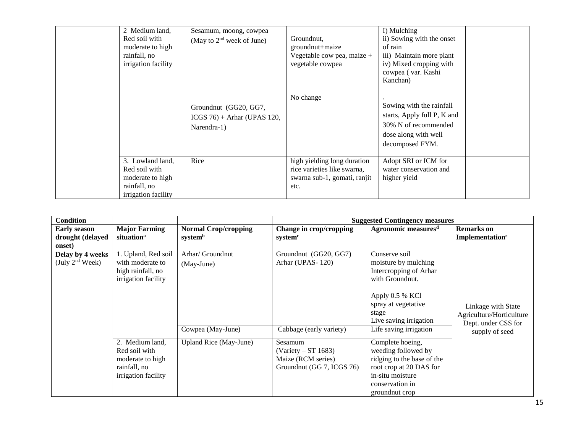| 2 Medium land,<br>Red soil with<br>moderate to high<br>rainfall, no<br>irrigation facility   | Sesamum, moong, cowpea<br>(May to $2nd$ week of June)                 | Groundnut,<br>ground nut + maize<br>Vegetable cow pea, maize +<br>vegetable cowpea                 | I) Mulching<br>ii) Sowing with the onset<br>of rain<br>iii) Maintain more plant<br>iv) Mixed cropping with<br>cowpea (var. Kashi<br>Kanchan) |  |
|----------------------------------------------------------------------------------------------|-----------------------------------------------------------------------|----------------------------------------------------------------------------------------------------|----------------------------------------------------------------------------------------------------------------------------------------------|--|
|                                                                                              | Groundnut (GG20, GG7,<br>$ICGS$ 76) + Arhar (UPAS 120,<br>Narendra-1) | No change                                                                                          | Sowing with the rainfall<br>starts, Apply full P, K and<br>30% N of recommended<br>dose along with well<br>decomposed FYM.                   |  |
| 3. Lowland land,<br>Red soil with<br>moderate to high<br>rainfall, no<br>irrigation facility | Rice                                                                  | high yielding long duration<br>rice varieties like swarna,<br>swarna sub-1, gomati, ranjit<br>etc. | Adopt SRI or ICM for<br>water conservation and<br>higher yield                                                                               |  |

| <b>Condition</b>                                  |                                                                                             |                                                    | <b>Suggested Contingency measures</b>                                                                          |                                                                                                                                                                                      |                                                                       |  |  |  |  |  |  |
|---------------------------------------------------|---------------------------------------------------------------------------------------------|----------------------------------------------------|----------------------------------------------------------------------------------------------------------------|--------------------------------------------------------------------------------------------------------------------------------------------------------------------------------------|-----------------------------------------------------------------------|--|--|--|--|--|--|
| <b>Early season</b><br>drought (delayed<br>onset) | <b>Major Farming</b><br>situation <sup>a</sup>                                              | <b>Normal Crop/cropping</b><br>systemb             | Change in crop/cropping<br>system <sup>c</sup>                                                                 | Agronomic measures <sup>d</sup>                                                                                                                                                      | <b>Remarks</b> on<br>Implementation <sup>e</sup>                      |  |  |  |  |  |  |
| Delay by 4 weeks<br>(July $2^{nd}$ Week)          | 1. Upland, Red soil<br>with moderate to<br>high rainfall, no<br>irrigation facility         | Arhar/ Groundnut<br>(May-June)                     | Groundnut (GG20, GG7)<br>Arhar (UPAS-120)                                                                      | Conserve soil<br>moisture by mulching<br>Intercropping of Arhar<br>with Groundnut.<br>Apply 0.5 % KCl<br>spray at vegetative<br>stage<br>Live saving irrigation                      | Linkage with State<br>Agriculture/Horticulture<br>Dept. under CSS for |  |  |  |  |  |  |
|                                                   | 2. Medium land,<br>Red soil with<br>moderate to high<br>rainfall, no<br>irrigation facility | Cowpea (May-June)<br><b>Upland Rice (May-June)</b> | Cabbage (early variety)<br>Sesamum<br>$(Variety - ST 1683)$<br>Maize (RCM series)<br>Groundnut (GG 7, ICGS 76) | Life saving irrigation<br>Complete hoeing,<br>weeding followed by<br>ridging to the base of the<br>root crop at 20 DAS for<br>in-situ moisture<br>conservation in<br>ground nut crop | supply of seed                                                        |  |  |  |  |  |  |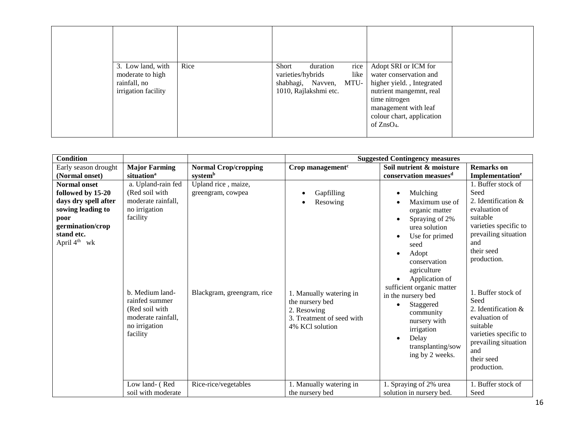| 3. Low land, with<br>moderate to high<br>rainfall, no<br>irrigation facility | Rice | rice<br>Short<br>duration<br>like<br>varieties/hybrids<br>shabhagi, Navven, MTU-<br>1010, Rajlakshmi etc. | Adopt SRI or ICM for<br>water conservation and<br>higher yield., Integrated<br>nutrient mangemnt, real<br>time nitrogen<br>management with leaf<br>colour chart, application<br>of $Zn4$ . |  |  |  |  |
|------------------------------------------------------------------------------|------|-----------------------------------------------------------------------------------------------------------|--------------------------------------------------------------------------------------------------------------------------------------------------------------------------------------------|--|--|--|--|

| <b>Condition</b>                                                                                                                                            |                                                                                                                                                                                                    |                                                                        |                                                                                                                                     | <b>Suggested Contingency measures</b>                                                                                                                                                                                                                                                                                           |                                                                                                                                                                                                                                                                                                                                                |
|-------------------------------------------------------------------------------------------------------------------------------------------------------------|----------------------------------------------------------------------------------------------------------------------------------------------------------------------------------------------------|------------------------------------------------------------------------|-------------------------------------------------------------------------------------------------------------------------------------|---------------------------------------------------------------------------------------------------------------------------------------------------------------------------------------------------------------------------------------------------------------------------------------------------------------------------------|------------------------------------------------------------------------------------------------------------------------------------------------------------------------------------------------------------------------------------------------------------------------------------------------------------------------------------------------|
| Early season drought                                                                                                                                        | <b>Major Farming</b>                                                                                                                                                                               | <b>Normal Crop/cropping</b>                                            | Crop management <sup>c</sup>                                                                                                        | Soil nutrient & moisture                                                                                                                                                                                                                                                                                                        | <b>Remarks</b> on                                                                                                                                                                                                                                                                                                                              |
| (Normal onset)                                                                                                                                              | situation <sup>a</sup>                                                                                                                                                                             | systemb                                                                |                                                                                                                                     | conservation measues <sup>d</sup>                                                                                                                                                                                                                                                                                               | Implementation <sup>e</sup>                                                                                                                                                                                                                                                                                                                    |
| <b>Normal onset</b><br>followed by 15-20<br>days dry spell after<br>sowing leading to<br>poor<br>germination/crop<br>stand etc.<br>April 4 <sup>th</sup> wk | a. Upland-rain fed<br>(Red soil with<br>moderate rainfall.<br>no irrigation<br>facility<br>b. Medium land-<br>rainfed summer<br>(Red soil with)<br>moderate rainfall.<br>no irrigation<br>facility | Upland rice, maize,<br>greengram, cowpea<br>Blackgram, greengram, rice | Gapfilling<br>Resowing<br>1. Manually watering in<br>the nursery bed<br>2. Resowing<br>3. Treatment of seed with<br>4% KCl solution | Mulching<br>Maximum use of<br>organic matter<br>Spraying of 2%<br>urea solution<br>Use for primed<br>seed<br>Adopt<br>conservation<br>agriculture<br>Application of<br>sufficient organic matter<br>in the nursery bed<br>Staggered<br>community<br>nursery with<br>irrigation<br>Delay<br>transplanting/sow<br>ing by 2 weeks. | 1. Buffer stock of<br>Seed<br>2. Identification $&$<br>evaluation of<br>suitable<br>varieties specific to<br>prevailing situation<br>and<br>their seed<br>production.<br>1. Buffer stock of<br>Seed<br>2. Identification $&$<br>evaluation of<br>suitable<br>varieties specific to<br>prevailing situation<br>and<br>their seed<br>production. |
|                                                                                                                                                             | Low land- (Red<br>soil with moderate                                                                                                                                                               | Rice-rice/vegetables                                                   | 1. Manually watering in<br>the nursery bed                                                                                          | 1. Spraying of 2% urea<br>solution in nursery bed.                                                                                                                                                                                                                                                                              | 1. Buffer stock of<br>Seed                                                                                                                                                                                                                                                                                                                     |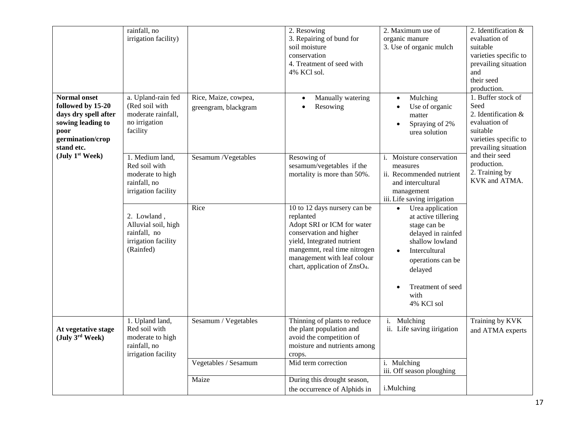|                                                                                                                                 | rainfall, no<br>irrigation facility)                                                        |                                              | 2. Resowing<br>3. Repairing of bund for<br>soil moisture<br>conservation<br>4. Treatment of seed with<br>4% KCl sol.                                                                                                                         | 2. Maximum use of<br>organic manure<br>3. Use of organic mulch                                                                                                                      | 2. Identification &<br>evaluation of<br>suitable<br>varieties specific to<br>prevailing situation<br>and<br>their seed<br>production. |
|---------------------------------------------------------------------------------------------------------------------------------|---------------------------------------------------------------------------------------------|----------------------------------------------|----------------------------------------------------------------------------------------------------------------------------------------------------------------------------------------------------------------------------------------------|-------------------------------------------------------------------------------------------------------------------------------------------------------------------------------------|---------------------------------------------------------------------------------------------------------------------------------------|
| <b>Normal onset</b><br>followed by 15-20<br>days dry spell after<br>sowing leading to<br>poor<br>germination/crop<br>stand etc. | a. Upland-rain fed<br>(Red soil with<br>moderate rainfall,<br>no irrigation<br>facility     | Rice, Maize, cowpea,<br>greengram, blackgram | Manually watering<br>$\bullet$<br>Resowing<br>$\bullet$                                                                                                                                                                                      | Mulching<br>Use of organic<br>matter<br>Spraying of 2%<br>urea solution                                                                                                             | 1. Buffer stock of<br>Seed<br>2. Identification &<br>evaluation of<br>suitable<br>varieties specific to<br>prevailing situation       |
| (July $1st Week$ )                                                                                                              | 1. Medium land,<br>Red soil with<br>moderate to high<br>rainfall, no<br>irrigation facility | Sesamum /Vegetables                          | Resowing of<br>sesamum/vegetables if the<br>mortality is more than 50%.                                                                                                                                                                      | i. Moisture conservation<br>measures<br>ii. Recommended nutrient<br>and intercultural<br>management<br>iii. Life saving irrigation                                                  | and their seed<br>production.<br>2. Training by<br>KVK and ATMA.                                                                      |
|                                                                                                                                 | 2. Lowland,<br>Alluvial soil, high<br>rainfall, no<br>irrigation facility<br>(Rainfed)      | Rice                                         | 10 to 12 days nursery can be<br>replanted<br>Adopt SRI or ICM for water<br>conservation and higher<br>yield, Integrated nutrient<br>mangemnt, real time nitrogen<br>management with leaf colour<br>chart, application of ZnsO <sub>4</sub> . | Urea application<br>$\bullet$<br>at active tillering<br>stage can be<br>delayed in rainfed<br>shallow lowland<br>Intercultural<br>operations can be<br>delayed<br>Treatment of seed |                                                                                                                                       |
|                                                                                                                                 |                                                                                             |                                              |                                                                                                                                                                                                                                              | with<br>4% KCl sol                                                                                                                                                                  |                                                                                                                                       |
| At vegetative stage<br>(July 3rd Week)                                                                                          | 1. Upland land,<br>Red soil with<br>moderate to high<br>rainfall, no<br>irrigation facility | Sesamum / Vegetables                         | Thinning of plants to reduce<br>the plant population and<br>avoid the competition of<br>moisture and nutrients among<br>crops.                                                                                                               | i. Mulching<br>ii. Life saving iirigation                                                                                                                                           | Training by KVK<br>and ATMA experts                                                                                                   |
|                                                                                                                                 |                                                                                             | Vegetables / Sesamum                         | Mid term correction                                                                                                                                                                                                                          | i. Mulching<br>iii. Off season ploughing                                                                                                                                            |                                                                                                                                       |
|                                                                                                                                 |                                                                                             | Maize                                        | During this drought season,<br>the occurrence of Alphids in                                                                                                                                                                                  | i.Mulching                                                                                                                                                                          |                                                                                                                                       |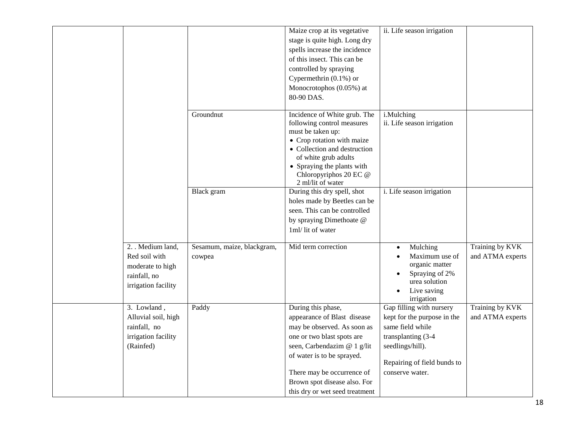|                                                                                             |                                      | Maize crop at its vegetative<br>stage is quite high. Long dry<br>spells increase the incidence<br>of this insect. This can be<br>controlled by spraying<br>Cypermethrin $(0.1\%)$ or<br>Monocrotophos (0.05%) at<br>80-90 DAS.                                              | ii. Life season irrigation                                                                                                                                              |                                     |
|---------------------------------------------------------------------------------------------|--------------------------------------|-----------------------------------------------------------------------------------------------------------------------------------------------------------------------------------------------------------------------------------------------------------------------------|-------------------------------------------------------------------------------------------------------------------------------------------------------------------------|-------------------------------------|
|                                                                                             | Groundnut                            | Incidence of White grub. The<br>following control measures<br>must be taken up:<br>• Crop rotation with maize<br>• Collection and destruction<br>of white grub adults<br>• Spraying the plants with<br>Chloropyriphos 20 EC @<br>2 ml/lit of water                          | i.Mulching<br>ii. Life season irrigation                                                                                                                                |                                     |
|                                                                                             | Black gram                           | During this dry spell, shot<br>holes made by Beetles can be<br>seen. This can be controlled<br>by spraying Dimethoate @<br>1ml/lit of water                                                                                                                                 | i. Life season irrigation                                                                                                                                               |                                     |
| 2. Medium land,<br>Red soil with<br>moderate to high<br>rainfall, no<br>irrigation facility | Sesamum, maize, blackgram,<br>cowpea | Mid term correction                                                                                                                                                                                                                                                         | Mulching<br>$\bullet$<br>Maximum use of<br>organic matter<br>Spraying of 2%<br>urea solution<br>Live saving<br>irrigation                                               | Training by KVK<br>and ATMA experts |
| 3. Lowland,<br>Alluvial soil, high<br>rainfall, no<br>irrigation facility<br>(Rainfed)      | Paddy                                | During this phase,<br>appearance of Blast disease<br>may be observed. As soon as<br>one or two blast spots are<br>seen, Carbendazim @ 1 g/lit<br>of water is to be sprayed.<br>There may be occurrence of<br>Brown spot disease also. For<br>this dry or wet seed treatment | Gap filling with nursery<br>kept for the purpose in the<br>same field while<br>transplanting (3-4<br>seedlings/hill).<br>Repairing of field bunds to<br>conserve water. | Training by KVK<br>and ATMA experts |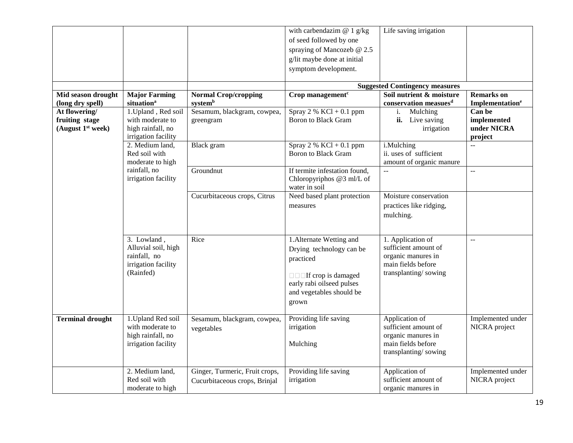|                                                                  |                                                                                        |                                                                 | with carbendazim $@$ 1 g/kg<br>of seed followed by one<br>spraying of Mancozeb @ 2.5<br>g/lit maybe done at initial<br>symptom development.                             | Life saving irrigation<br><b>Suggested Contingency measures</b>                                               |                                                 |
|------------------------------------------------------------------|----------------------------------------------------------------------------------------|-----------------------------------------------------------------|-------------------------------------------------------------------------------------------------------------------------------------------------------------------------|---------------------------------------------------------------------------------------------------------------|-------------------------------------------------|
| Mid season drought                                               | <b>Major Farming</b>                                                                   | <b>Normal Crop/cropping</b>                                     | Crop management <sup>c</sup>                                                                                                                                            | Soil nutrient & moisture                                                                                      | <b>Remarks</b> on                               |
| (long dry spell)                                                 | situation <sup>a</sup>                                                                 | systemb                                                         |                                                                                                                                                                         | conservation measues <sup>d</sup>                                                                             | Implementation <sup>e</sup>                     |
| At flowering/<br>fruiting stage<br>(August 1 <sup>st</sup> week) | 1. Upland, Red soil<br>with moderate to<br>high rainfall, no<br>irrigation facility    | Sesamum, blackgram, cowpea,<br>greengram                        | Spray 2 % $KCl + 0.1$ ppm<br><b>Boron</b> to Black Gram                                                                                                                 | Mulching<br>i.<br>Live saving<br>ii.<br>irrigation                                                            | Can be<br>implemented<br>under NICRA<br>project |
|                                                                  | 2. Medium land,<br>Red soil with<br>moderate to high                                   | Black gram                                                      | Spray 2 % $KCl + 0.1$ ppm<br><b>Boron</b> to Black Gram                                                                                                                 | i.Mulching<br>ii. uses of sufficient<br>amount of organic manure                                              | $\ddotsc$                                       |
|                                                                  | rainfall, no<br>irrigation facility                                                    | Groundnut                                                       | If termite infestation found,<br>Chloropyriphos @3 ml/L of<br>water in soil                                                                                             | $\overline{a}$                                                                                                | $\mathbb{L}^{\mathbb{L}}$                       |
|                                                                  |                                                                                        | Cucurbitaceous crops, Citrus                                    | Need based plant protection<br>measures                                                                                                                                 | Moisture conservation<br>practices like ridging,<br>mulching.                                                 |                                                 |
|                                                                  | 3. Lowland,<br>Alluvial soil, high<br>rainfall, no<br>irrigation facility<br>(Rainfed) | Rice                                                            | 1. Alternate Wetting and<br>Drying technology can be<br>practiced<br>$\Box$ $\Box$ If crop is damaged<br>early rabi oilseed pulses<br>and vegetables should be<br>grown | 1. Application of<br>sufficient amount of<br>organic manures in<br>main fields before<br>transplanting/sowing | $\sim$                                          |
| <b>Terminal drought</b>                                          | 1. Upland Red soil<br>with moderate to<br>high rainfall, no<br>irrigation facility     | Sesamum, blackgram, cowpea,<br>vegetables                       | Providing life saving<br>irrigation<br>Mulching                                                                                                                         | Application of<br>sufficient amount of<br>organic manures in<br>main fields before<br>transplanting/sowing    | Implemented under<br>NICRA project              |
|                                                                  | 2. Medium land,<br>Red soil with<br>moderate to high                                   | Ginger, Turmeric, Fruit crops,<br>Cucurbitaceous crops, Brinjal | Providing life saving<br>irrigation                                                                                                                                     | Application of<br>sufficient amount of<br>organic manures in                                                  | Implemented under<br>NICRA project              |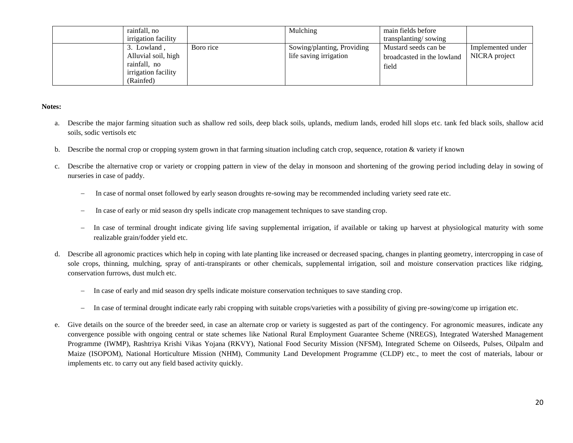| rainfall, no        |           | Mulching                   | main fields before         |                   |
|---------------------|-----------|----------------------------|----------------------------|-------------------|
| irrigation facility |           |                            | transplanting/sowing       |                   |
| 3. Lowland,         | Boro rice | Sowing/planting, Providing | Mustard seeds can be       | Implemented under |
| Alluvial soil, high |           | life saving irrigation     | broadcasted in the lowland | NICRA project     |
| rainfall, no        |           |                            | field                      |                   |
| irrigation facility |           |                            |                            |                   |
| (Rainfed)           |           |                            |                            |                   |

#### **Notes:**

- a. Describe the major farming situation such as shallow red soils, deep black soils, uplands, medium lands, eroded hill slops etc. tank fed black soils, shallow acid soils, sodic vertisols etc
- b. Describe the normal crop or cropping system grown in that farming situation including catch crop, sequence, rotation & variety if known
- c. Describe the alternative crop or variety or cropping pattern in view of the delay in monsoon and shortening of the growing period including delay in sowing of nurseries in case of paddy.
	- In case of normal onset followed by early season droughts re-sowing may be recommended including variety seed rate etc.
	- In case of early or mid season dry spells indicate crop management techniques to save standing crop.
	- In case of terminal drought indicate giving life saving supplemental irrigation, if available or taking up harvest at physiological maturity with some realizable grain/fodder yield etc.
- d. Describe all agronomic practices which help in coping with late planting like increased or decreased spacing, changes in planting geometry, intercropping in case of sole crops, thinning, mulching, spray of anti-transpirants or other chemicals, supplemental irrigation, soil and moisture conservation practices like ridging, conservation furrows, dust mulch etc.
	- In case of early and mid season dry spells indicate moisture conservation techniques to save standing crop.
	- In case of terminal drought indicate early rabi cropping with suitable crops/varieties with a possibility of giving pre-sowing/come up irrigation etc.
- e. Give details on the source of the breeder seed, in case an alternate crop or variety is suggested as part of the contingency. For agronomic measures, indicate any convergence possible with ongoing central or state schemes like National Rural Employment Guarantee Scheme (NREGS), Integrated Watershed Management Programme (IWMP), Rashtriya Krishi Vikas Yojana (RKVY), National Food Security Mission (NFSM), Integrated Scheme on Oilseeds, Pulses, Oilpalm and Maize (ISOPOM), National Horticulture Mission (NHM), Community Land Development Programme (CLDP) etc., to meet the cost of materials, labour or implements etc. to carry out any field based activity quickly.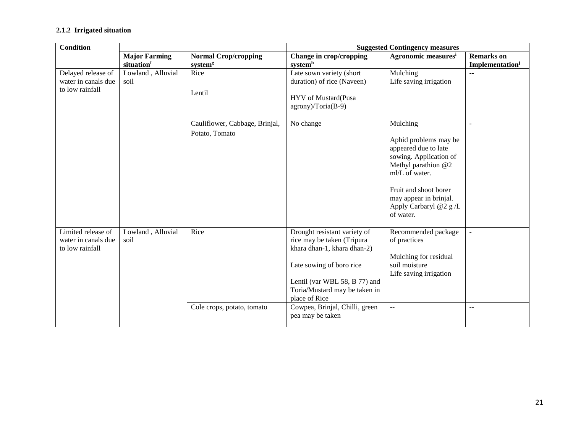#### **2.1.2 Irrigated situation**

| <b>Condition</b>                                             |                           |                                | <b>Suggested Contingency measures</b>                                                                                                                                                                    |                                                                                                                                                                                                           |                   |  |
|--------------------------------------------------------------|---------------------------|--------------------------------|----------------------------------------------------------------------------------------------------------------------------------------------------------------------------------------------------------|-----------------------------------------------------------------------------------------------------------------------------------------------------------------------------------------------------------|-------------------|--|
|                                                              | <b>Major Farming</b>      | <b>Normal Crop/cropping</b>    | Change in crop/cropping                                                                                                                                                                                  | Agronomic measures <sup>i</sup>                                                                                                                                                                           | <b>Remarks</b> on |  |
|                                                              | situation <sup>f</sup>    | system <sup>g</sup>            | systemh                                                                                                                                                                                                  |                                                                                                                                                                                                           | Implementation    |  |
| Delayed release of                                           | Lowland, Alluvial         | Rice                           | Late sown variety (short                                                                                                                                                                                 | Mulching                                                                                                                                                                                                  | $\overline{a}$    |  |
| water in canals due                                          | soil                      |                                | duration) of rice (Naveen)                                                                                                                                                                               | Life saving irrigation                                                                                                                                                                                    |                   |  |
| to low rainfall                                              |                           | Lentil                         | HYV of Mustard(Pusa<br>agrony)/Toria(B-9)                                                                                                                                                                |                                                                                                                                                                                                           |                   |  |
|                                                              |                           | Cauliflower, Cabbage, Brinjal, | No change                                                                                                                                                                                                | Mulching                                                                                                                                                                                                  | $\overline{a}$    |  |
|                                                              |                           | Potato, Tomato                 |                                                                                                                                                                                                          | Aphid problems may be<br>appeared due to late<br>sowing. Application of<br>Methyl parathion @2<br>ml/L of water.<br>Fruit and shoot borer<br>may appear in brinjal.<br>Apply Carbaryl @2 g/L<br>of water. |                   |  |
| Limited release of<br>water in canals due<br>to low rainfall | Lowland, Alluvial<br>soil | Rice                           | Drought resistant variety of<br>rice may be taken (Tripura<br>khara dhan-1, khara dhan-2)<br>Late sowing of boro rice<br>Lentil (var WBL 58, B 77) and<br>Toria/Mustard may be taken in<br>place of Rice | Recommended package<br>of practices<br>Mulching for residual<br>soil moisture<br>Life saving irrigation                                                                                                   | ÷,                |  |
|                                                              |                           | Cole crops, potato, tomato     | Cowpea, Brinjal, Chilli, green<br>pea may be taken                                                                                                                                                       | $\overline{a}$                                                                                                                                                                                            | $-$               |  |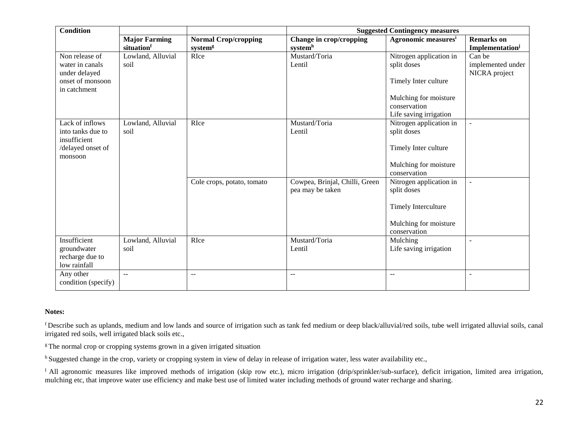| <b>Condition</b>    |                        |                             | <b>Suggested Contingency measures</b> |                                       |                             |  |
|---------------------|------------------------|-----------------------------|---------------------------------------|---------------------------------------|-----------------------------|--|
|                     | <b>Major Farming</b>   | <b>Normal Crop/cropping</b> | Change in crop/cropping               | Agronomic measures <sup>i</sup>       | <b>Remarks</b> on           |  |
|                     | situation <sup>f</sup> | system <sup>g</sup>         | systemh                               |                                       | Implementation <sup>j</sup> |  |
| Non release of      | Lowland, Alluvial      | RIce                        | Mustard/Toria                         | Nitrogen application in               | Can be                      |  |
| water in canals     | soil                   |                             | Lentil                                | split doses                           | implemented under           |  |
| under delayed       |                        |                             |                                       |                                       | NICRA project               |  |
| onset of monsoon    |                        |                             |                                       | Timely Inter culture                  |                             |  |
| in catchment        |                        |                             |                                       |                                       |                             |  |
|                     |                        |                             |                                       | Mulching for moisture                 |                             |  |
|                     |                        |                             |                                       | conservation                          |                             |  |
|                     |                        |                             |                                       | Life saving irrigation                |                             |  |
| Lack of inflows     | Lowland, Alluvial      | RIce                        | Mustard/Toria                         | Nitrogen application in               | $\overline{a}$              |  |
| into tanks due to   | soil                   |                             | Lentil                                | split doses                           |                             |  |
| insufficient        |                        |                             |                                       |                                       |                             |  |
| /delayed onset of   |                        |                             |                                       | Timely Inter culture                  |                             |  |
| monsoon             |                        |                             |                                       |                                       |                             |  |
|                     |                        |                             |                                       | Mulching for moisture<br>conservation |                             |  |
|                     |                        | Cole crops, potato, tomato  | Cowpea, Brinjal, Chilli, Green        | Nitrogen application in               | $\overline{\phantom{a}}$    |  |
|                     |                        |                             | pea may be taken                      | split doses                           |                             |  |
|                     |                        |                             |                                       |                                       |                             |  |
|                     |                        |                             |                                       | Timely Interculture                   |                             |  |
|                     |                        |                             |                                       |                                       |                             |  |
|                     |                        |                             |                                       | Mulching for moisture                 |                             |  |
|                     |                        |                             |                                       | conservation                          |                             |  |
| Insufficient        | Lowland, Alluvial      | RIce                        | Mustard/Toria                         | Mulching                              | $\overline{a}$              |  |
| groundwater         | soil                   |                             | Lentil                                | Life saving irrigation                |                             |  |
| recharge due to     |                        |                             |                                       |                                       |                             |  |
| low rainfall        |                        |                             |                                       |                                       |                             |  |
| Any other           | $\mathbb{L}$ .         | $\mathbf{u}$                | $\sim$ $\sim$                         | $\sim$ $\sim$                         | $\overline{a}$              |  |
| condition (specify) |                        |                             |                                       |                                       |                             |  |

#### **Notes:**

<sup>f</sup>Describe such as uplands, medium and low lands and source of irrigation such as tank fed medium or deep black/alluvial/red soils, tube well irrigated alluvial soils, canal irrigated red soils, well irrigated black soils etc.,

<sup>g</sup>The normal crop or cropping systems grown in a given irrigated situation

h Suggested change in the crop, variety or cropping system in view of delay in release of irrigation water, less water availability etc.,

<sup>I</sup> All agronomic measures like improved methods of irrigation (skip row etc.), micro irrigation (drip/sprinkler/sub-surface), deficit irrigation, limited area irrigation, mulching etc, that improve water use efficiency and make best use of limited water including methods of ground water recharge and sharing.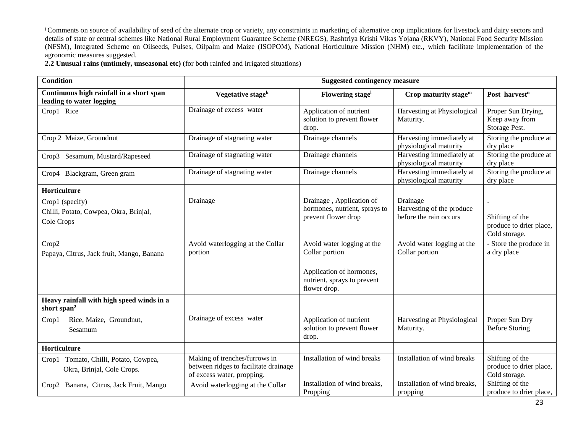<sup>j</sup> Comments on source of availability of seed of the alternate crop or variety, any constraints in marketing of alternative crop implications for livestock and dairy sectors and details of state or central schemes like National Rural Employment Guarantee Scheme (NREGS), Rashtriya Krishi Vikas Yojana (RKVY), National Food Security Mission (NFSM), Integrated Scheme on Oilseeds, Pulses, Oilpalm and Maize (ISOPOM), National Horticulture Mission (NHM) etc., which facilitate implementation of the agronomic measures suggested.

**2.2 Unusual rains (untimely, unseasonal etc)** (for both rainfed and irrigated situations)

| Condition                                                               | <b>Suggested contingency measure</b>                                                                 |                                                                                                                         |                                                                 |                                                             |  |
|-------------------------------------------------------------------------|------------------------------------------------------------------------------------------------------|-------------------------------------------------------------------------------------------------------------------------|-----------------------------------------------------------------|-------------------------------------------------------------|--|
| Continuous high rainfall in a short span<br>leading to water logging    | Vegetative stage <sup>k</sup>                                                                        | Flowering stage                                                                                                         | Crop maturity stage $m$                                         | Post harvest <sup>n</sup>                                   |  |
| Crop1 Rice                                                              | Drainage of excess water                                                                             | Application of nutrient<br>solution to prevent flower<br>drop.                                                          | Harvesting at Physiological<br>Maturity.                        | Proper Sun Drying,<br>Keep away from<br>Storage Pest.       |  |
| Crop 2 Maize, Groundnut                                                 | Drainage of stagnating water                                                                         | Drainage channels                                                                                                       | Harvesting immediately at<br>physiological maturity             | Storing the produce at<br>dry place                         |  |
| Crop3 Sesamum, Mustard/Rapeseed                                         | Drainage of stagnating water                                                                         | Drainage channels                                                                                                       | Harvesting immediately at<br>physiological maturity             | Storing the produce at<br>dry place                         |  |
| Crop4 Blackgram, Green gram                                             | Drainage of stagnating water                                                                         | Drainage channels                                                                                                       | Harvesting immediately at<br>physiological maturity             | Storing the produce at<br>dry place                         |  |
| Horticulture                                                            |                                                                                                      |                                                                                                                         |                                                                 |                                                             |  |
| Crop1 (specify)<br>Chilli, Potato, Cowpea, Okra, Brinjal,<br>Cole Crops | Drainage                                                                                             | Drainage, Application of<br>hormones, nutrient, sprays to<br>prevent flower drop                                        | Drainage<br>Harvesting of the produce<br>before the rain occurs | Shifting of the<br>produce to drier place,<br>Cold storage. |  |
| Crop2<br>Papaya, Citrus, Jack fruit, Mango, Banana                      | Avoid waterlogging at the Collar<br>portion                                                          | Avoid water logging at the<br>Collar portion<br>Application of hormones,<br>nutrient, sprays to prevent<br>flower drop. | Avoid water logging at the<br>Collar portion                    | - Store the produce in<br>a dry place                       |  |
| Heavy rainfall with high speed winds in a<br>short span <sup>2</sup>    |                                                                                                      |                                                                                                                         |                                                                 |                                                             |  |
| Rice, Maize, Groundnut,<br>Crop1<br>Sesamum                             | Drainage of excess water                                                                             | Application of nutrient<br>solution to prevent flower<br>drop.                                                          | Harvesting at Physiological<br>Maturity.                        | Proper Sun Dry<br><b>Before Storing</b>                     |  |
| Horticulture                                                            |                                                                                                      |                                                                                                                         |                                                                 |                                                             |  |
| Tomato, Chilli, Potato, Cowpea,<br>Crop1<br>Okra, Brinjal, Cole Crops.  | Making of trenches/furrows in<br>between ridges to facilitate drainage<br>of excess water, propping. | Installation of wind breaks                                                                                             | Installation of wind breaks                                     | Shifting of the<br>produce to drier place,<br>Cold storage. |  |
| Crop2 Banana, Citrus, Jack Fruit, Mango                                 | Avoid waterlogging at the Collar                                                                     | Installation of wind breaks,<br>Propping                                                                                | Installation of wind breaks,<br>propping                        | Shifting of the<br>produce to drier place,                  |  |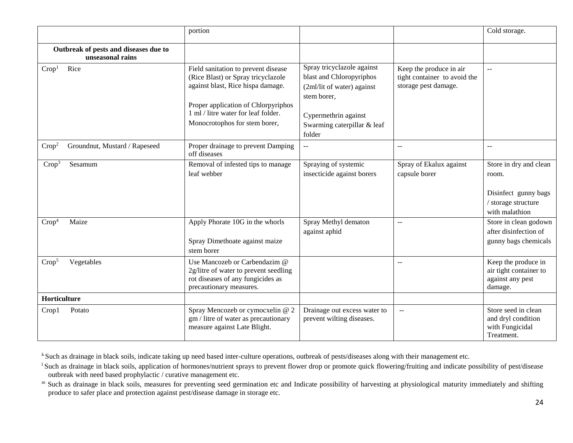|                   |                                                           | portion                                                                                                                                                                                                                       |                                                                                                                                                                      |                                                                                 | Cold storage.                                                                                    |
|-------------------|-----------------------------------------------------------|-------------------------------------------------------------------------------------------------------------------------------------------------------------------------------------------------------------------------------|----------------------------------------------------------------------------------------------------------------------------------------------------------------------|---------------------------------------------------------------------------------|--------------------------------------------------------------------------------------------------|
|                   | Outbreak of pests and diseases due to<br>unseasonal rains |                                                                                                                                                                                                                               |                                                                                                                                                                      |                                                                                 |                                                                                                  |
| Crop <sup>1</sup> | Rice                                                      | Field sanitation to prevent disease<br>(Rice Blast) or Spray tricyclazole<br>against blast, Rice hispa damage.<br>Proper application of Chlorpyriphos<br>1 ml / litre water for leaf folder.<br>Monocrotophos for stem borer, | Spray tricyclazole against<br>blast and Chloropyriphos<br>(2ml/lit of water) against<br>stem borer,<br>Cypermethrin against<br>Swarming caterpillar & leaf<br>folder | Keep the produce in air<br>tight container to avoid the<br>storage pest damage. | $\sim$                                                                                           |
| Crop <sup>2</sup> | Groundnut, Mustard / Rapeseed                             | Proper drainage to prevent Damping<br>off diseases                                                                                                                                                                            | $- -$                                                                                                                                                                | --                                                                              | --                                                                                               |
| Crop <sup>3</sup> | Sesamum                                                   | Removal of infested tips to manage<br>leaf webber                                                                                                                                                                             | Spraying of systemic<br>insecticide against borers                                                                                                                   | Spray of Ekalux against<br>capsule borer                                        | Store in dry and clean<br>room.<br>Disinfect gunny bags<br>/ storage structure<br>with malathion |
| Crop <sup>4</sup> | Maize                                                     | Apply Phorate 10G in the whorls<br>Spray Dimethoate against maize<br>stem borer                                                                                                                                               | Spray Methyl dematon<br>against aphid                                                                                                                                | $-$                                                                             | Store in clean godown<br>after disinfection of<br>gunny bags chemicals                           |
| Crop <sup>5</sup> | Vegetables                                                | Use Mancozeb or Carbendazim @<br>2g/litre of water to prevent seedling<br>rot diseases of any fungicides as<br>precautionary measures.                                                                                        |                                                                                                                                                                      | $-$                                                                             | Keep the produce in<br>air tight container to<br>against any pest<br>damage.                     |
| Horticulture      |                                                           |                                                                                                                                                                                                                               |                                                                                                                                                                      |                                                                                 |                                                                                                  |
| Crop1             | Potato                                                    | Spray Mencozeb or cymocxelin @ 2<br>gm / litre of water as precautionary<br>measure against Late Blight.                                                                                                                      | Drainage out excess water to<br>prevent wilting diseases.                                                                                                            | $-$                                                                             | Store seed in clean<br>and dryl condition<br>with Fungicidal<br>Treatment.                       |

<sup>k</sup> Such as drainage in black soils, indicate taking up need based inter-culture operations, outbreak of pests/diseases along with their management etc.

<sup>1</sup> Such as drainage in black soils, application of hormones/nutrient sprays to prevent flower drop or promote quick flowering/fruiting and indicate possibility of pest/disease outbreak with need based prophylactic / curative management etc.

m Such as drainage in black soils, measures for preventing seed germination etc and Indicate possibility of harvesting at physiological maturity immediately and shifting produce to safer place and protection against pest/disease damage in storage etc.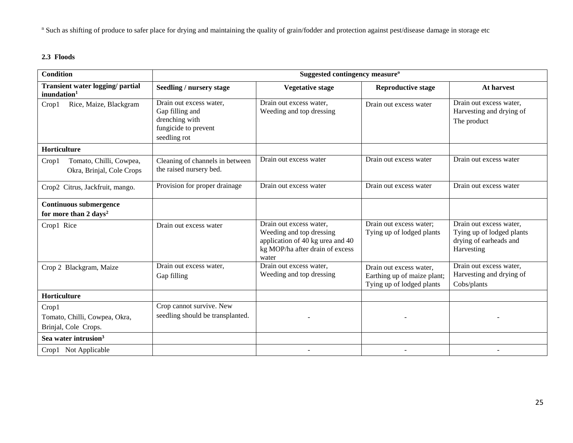<sup>n</sup> Such as shifting of produce to safer place for drying and maintaining the quality of grain/fodder and protection against pest/disease damage in storage etc

# **2.3 Floods**

| <b>Condition</b>                                                  | Suggested contingency measure <sup>o</sup>                                                           |                                                                                                                                     |                                                                                     |                                                                                              |  |  |
|-------------------------------------------------------------------|------------------------------------------------------------------------------------------------------|-------------------------------------------------------------------------------------------------------------------------------------|-------------------------------------------------------------------------------------|----------------------------------------------------------------------------------------------|--|--|
| Transient water logging/ partial<br>inundation <sup>1</sup>       | Seedling / nursery stage                                                                             | <b>Vegetative stage</b>                                                                                                             | <b>Reproductive stage</b>                                                           | At harvest                                                                                   |  |  |
| Rice, Maize, Blackgram<br>Crop1                                   | Drain out excess water,<br>Gap filling and<br>drenching with<br>fungicide to prevent<br>seedling rot | Drain out excess water,<br>Weeding and top dressing                                                                                 | Drain out excess water                                                              | Drain out excess water,<br>Harvesting and drying of<br>The product                           |  |  |
| Horticulture                                                      |                                                                                                      |                                                                                                                                     |                                                                                     |                                                                                              |  |  |
| Tomato, Chilli, Cowpea,<br>Crop1<br>Okra, Brinjal, Cole Crops     | Cleaning of channels in between<br>the raised nursery bed.                                           | Drain out excess water                                                                                                              | Drain out excess water                                                              | Drain out excess water                                                                       |  |  |
| Crop2 Citrus, Jackfruit, mango.                                   | Provision for proper drainage                                                                        | Drain out excess water                                                                                                              | Drain out excess water                                                              | Drain out excess water                                                                       |  |  |
| <b>Continuous submergence</b><br>for more than $2 \text{ days}^2$ |                                                                                                      |                                                                                                                                     |                                                                                     |                                                                                              |  |  |
| Crop1 Rice                                                        | Drain out excess water                                                                               | Drain out excess water,<br>Weeding and top dressing<br>application of 40 kg urea and 40<br>kg MOP/ha after drain of excess<br>water | Drain out excess water;<br>Tying up of lodged plants                                | Drain out excess water,<br>Tying up of lodged plants<br>drying of earheads and<br>Harvesting |  |  |
| Crop 2 Blackgram, Maize                                           | Drain out excess water,<br>Gap filling                                                               | Drain out excess water,<br>Weeding and top dressing                                                                                 | Drain out excess water,<br>Earthing up of maize plant;<br>Tying up of lodged plants | Drain out excess water,<br>Harvesting and drying of<br>Cobs/plants                           |  |  |
| Horticulture                                                      |                                                                                                      |                                                                                                                                     |                                                                                     |                                                                                              |  |  |
| Crop1<br>Tomato, Chilli, Cowpea, Okra,<br>Brinjal, Cole Crops.    | Crop cannot survive. New<br>seedling should be transplanted.                                         |                                                                                                                                     |                                                                                     |                                                                                              |  |  |
| Sea water intrusion <sup>3</sup>                                  |                                                                                                      |                                                                                                                                     |                                                                                     |                                                                                              |  |  |
| Crop1 Not Applicable                                              |                                                                                                      |                                                                                                                                     |                                                                                     |                                                                                              |  |  |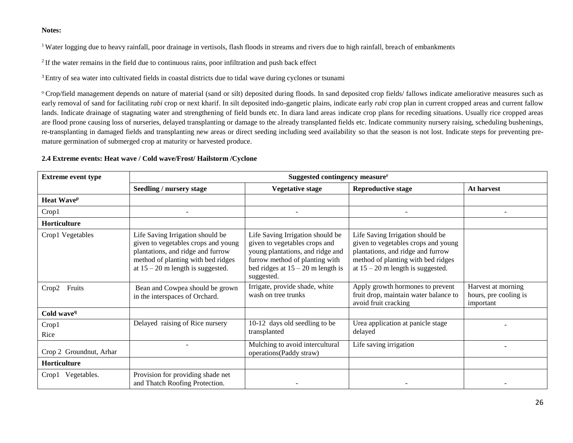#### **Notes:**

<sup>1</sup> Water logging due to heavy rainfall, poor drainage in vertisols, flash floods in streams and rivers due to high rainfall, breach of embankments

 $2$  If the water remains in the field due to continuous rains, poor infiltration and push back effect

<sup>3</sup> Entry of sea water into cultivated fields in coastal districts due to tidal wave during cyclones or tsunami

<sup>o</sup>Crop/field management depends on nature of material (sand or silt) deposited during floods. In sand deposited crop fields/ fallows indicate ameliorative measures such as early removal of sand for facilitating *rabi* crop or next kharif. In silt deposited indo-gangetic plains, indicate early *rabi* crop plan in current cropped areas and current fallow lands. Indicate drainage of stagnating water and strengthening of field bunds etc. In diara land areas indicate crop plans for receding situations. Usually rice cropped areas are flood prone causing loss of nurseries, delayed transplanting or damage to the already transplanted fields etc. Indicate community nursery raising, scheduling bushenings, re-transplanting in damaged fields and transplanting new areas or direct seeding including seed availability so that the season is not lost. Indicate steps for preventing premature germination of submerged crop at maturity or harvested produce.

#### **2.4 Extreme events: Heat wave / Cold wave/Frost/ Hailstorm /Cyclone**

| <b>Extreme event type</b>     | Suggested contingency measure <sup>r</sup>                                                                                                                                                |                                                                                                                                                                                              |                                                                                                                                                                                           |                                                          |
|-------------------------------|-------------------------------------------------------------------------------------------------------------------------------------------------------------------------------------------|----------------------------------------------------------------------------------------------------------------------------------------------------------------------------------------------|-------------------------------------------------------------------------------------------------------------------------------------------------------------------------------------------|----------------------------------------------------------|
|                               | Seedling / nursery stage                                                                                                                                                                  | <b>Vegetative stage</b>                                                                                                                                                                      | <b>Reproductive stage</b>                                                                                                                                                                 | At harvest                                               |
| <b>Heat Wave</b> <sup>p</sup> |                                                                                                                                                                                           |                                                                                                                                                                                              |                                                                                                                                                                                           |                                                          |
| Crop1                         |                                                                                                                                                                                           |                                                                                                                                                                                              |                                                                                                                                                                                           |                                                          |
| Horticulture                  |                                                                                                                                                                                           |                                                                                                                                                                                              |                                                                                                                                                                                           |                                                          |
| Crop1 Vegetables              | Life Saving Irrigation should be<br>given to vegetables crops and young<br>plantations, and ridge and furrow<br>method of planting with bed ridges<br>at $15 - 20$ m length is suggested. | Life Saving Irrigation should be<br>given to vegetables crops and<br>young plantations, and ridge and<br>furrow method of planting with<br>bed ridges at $15 - 20$ m length is<br>suggested. | Life Saving Irrigation should be<br>given to vegetables crops and young<br>plantations, and ridge and furrow<br>method of planting with bed ridges<br>at $15 - 20$ m length is suggested. |                                                          |
| Fruits<br>Crop2               | Bean and Cowpea should be grown<br>in the interspaces of Orchard.                                                                                                                         | Irrigate, provide shade, white<br>wash on tree trunks                                                                                                                                        | Apply growth hormones to prevent<br>fruit drop, maintain water balance to<br>avoid fruit cracking                                                                                         | Harvest at morning<br>hours, pre cooling is<br>important |
| Cold wave <sup>q</sup>        |                                                                                                                                                                                           |                                                                                                                                                                                              |                                                                                                                                                                                           |                                                          |
| Crop1<br>Rice                 | Delayed raising of Rice nursery                                                                                                                                                           | 10-12 days old seedling to be<br>transplanted                                                                                                                                                | Urea application at panicle stage<br>delayed                                                                                                                                              |                                                          |
| Crop 2 Groundnut, Arhar       |                                                                                                                                                                                           | Mulching to avoid intercultural<br>operations(Paddy straw)                                                                                                                                   | Life saving irrigation                                                                                                                                                                    |                                                          |
| Horticulture                  |                                                                                                                                                                                           |                                                                                                                                                                                              |                                                                                                                                                                                           |                                                          |
| Crop1 Vegetables.             | Provision for providing shade net<br>and Thatch Roofing Protection.                                                                                                                       |                                                                                                                                                                                              |                                                                                                                                                                                           |                                                          |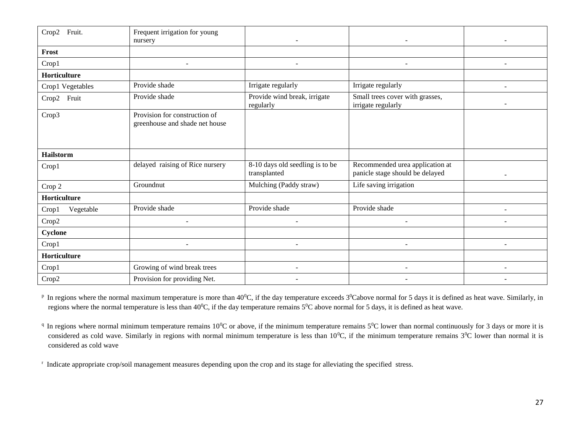| Fruit.<br>Crop2    | Frequent irrigation for young<br>nursery                        |                                                 |                                                                    |  |
|--------------------|-----------------------------------------------------------------|-------------------------------------------------|--------------------------------------------------------------------|--|
| Frost              |                                                                 |                                                 |                                                                    |  |
| Crop1              |                                                                 |                                                 |                                                                    |  |
| Horticulture       |                                                                 |                                                 |                                                                    |  |
| Crop1 Vegetables   | Provide shade                                                   | Irrigate regularly                              | Irrigate regularly                                                 |  |
| Crop2 Fruit        | Provide shade                                                   | Provide wind break, irrigate<br>regularly       | Small trees cover with grasses,<br>irrigate regularly              |  |
| Crop3              | Provision for construction of<br>greenhouse and shade net house |                                                 |                                                                    |  |
| Hailstorm          |                                                                 |                                                 |                                                                    |  |
| Crop1              | delayed raising of Rice nursery                                 | 8-10 days old seedling is to be<br>transplanted | Recommended urea application at<br>panicle stage should be delayed |  |
| Crop 2             | Groundnut                                                       | Mulching (Paddy straw)                          | Life saving irrigation                                             |  |
| Horticulture       |                                                                 |                                                 |                                                                    |  |
| Vegetable<br>Crop1 | Provide shade                                                   | Provide shade                                   | Provide shade                                                      |  |
| Crop2              |                                                                 |                                                 | $\overline{\phantom{a}}$                                           |  |
| Cyclone            |                                                                 |                                                 |                                                                    |  |
| Crop1              |                                                                 |                                                 |                                                                    |  |
| Horticulture       |                                                                 |                                                 |                                                                    |  |
| Crop1              | Growing of wind break trees                                     |                                                 |                                                                    |  |
| Crop2              | Provision for providing Net.                                    |                                                 |                                                                    |  |

<sup>p</sup> In regions where the normal maximum temperature is more than  $40^{\circ}$ C, if the day temperature exceeds  $3^{\circ}$ Cabove normal for 5 days it is defined as heat wave. Similarly, in regions where the normal temperature is less than 40<sup>o</sup>C, if the day temperature remains  $5^{\circ}$ C above normal for 5 days, it is defined as heat wave.

 $q$  In regions where normal minimum temperature remains 10<sup>o</sup>C or above, if the minimum temperature remains 5<sup>o</sup>C lower than normal continuously for 3 days or more it is considered as cold wave. Similarly in regions with normal minimum temperature is less than  $10^{0}$ C, if the minimum temperature remains  $3^{0}$ C lower than normal it is considered as cold wave

r Indicate appropriate crop/soil management measures depending upon the crop and its stage for alleviating the specified stress.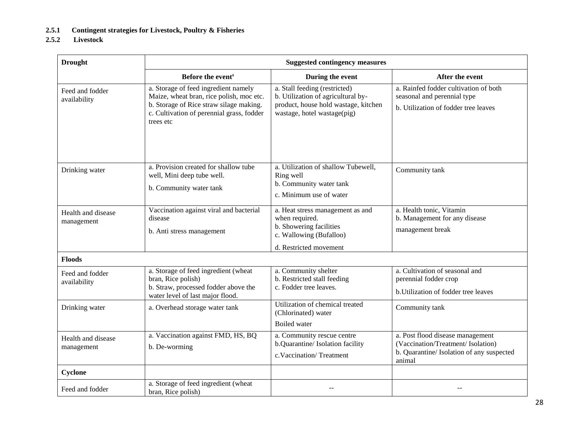### **2.5.1 Contingent strategies for Livestock, Poultry & Fisheries**

#### **2.5.2 Livestock**

| <b>Drought</b>                   | <b>Suggested contingency measures</b>                                                                                                                                                 |                                                                                                                                            |                                                                                                                              |  |
|----------------------------------|---------------------------------------------------------------------------------------------------------------------------------------------------------------------------------------|--------------------------------------------------------------------------------------------------------------------------------------------|------------------------------------------------------------------------------------------------------------------------------|--|
|                                  | Before the event <sup>s</sup>                                                                                                                                                         | During the event                                                                                                                           | After the event                                                                                                              |  |
| Feed and fodder<br>availability  | a. Storage of feed ingredient namely<br>Maize, wheat bran, rice polish, moc etc.<br>b. Storage of Rice straw silage making.<br>c. Cultivation of perennial grass, fodder<br>trees etc | a. Stall feeding (restricted)<br>b. Utilization of agricultural by-<br>product, house hold wastage, kitchen<br>wastage, hotel wastage(pig) | a. Rainfed fodder cultivation of both<br>seasonal and perennial type<br>b. Utilization of fodder tree leaves                 |  |
| Drinking water                   | a. Provision created for shallow tube<br>well, Mini deep tube well.<br>b. Community water tank                                                                                        | a. Utilization of shallow Tubewell,<br>Ring well<br>b. Community water tank<br>c. Minimum use of water                                     | Community tank                                                                                                               |  |
| Health and disease<br>management | Vaccination against viral and bacterial<br>disease<br>b. Anti stress management                                                                                                       | a. Heat stress management as and<br>when required.<br>b. Showering facilities<br>c. Wallowing (Bufalloo)<br>d. Restricted movement         | a. Health tonic, Vitamin<br>b. Management for any disease<br>management break                                                |  |
| <b>Floods</b>                    |                                                                                                                                                                                       |                                                                                                                                            |                                                                                                                              |  |
| Feed and fodder<br>availability  | a. Storage of feed ingredient (wheat<br>bran, Rice polish)<br>b. Straw, processed fodder above the<br>water level of last major flood.                                                | a. Community shelter<br>b. Restricted stall feeding<br>c. Fodder tree leaves.                                                              | a. Cultivation of seasonal and<br>perennial fodder crop<br>b. Utilization of fodder tree leaves                              |  |
| Drinking water                   | a. Overhead storage water tank                                                                                                                                                        | Utilization of chemical treated<br>(Chlorinated) water<br>Boiled water                                                                     | Community tank                                                                                                               |  |
| Health and disease<br>management | a. Vaccination against FMD, HS, BQ<br>b. De-worming                                                                                                                                   | a. Community rescue centre<br>b.Quarantine/Isolation facility<br>c.Vaccination/Treatment                                                   | a. Post flood disease management<br>(Vaccination/Treatment/Isolation)<br>b. Quarantine/ Isolation of any suspected<br>animal |  |
| Cyclone                          |                                                                                                                                                                                       |                                                                                                                                            |                                                                                                                              |  |
| Feed and fodder                  | a. Storage of feed ingredient (wheat<br>bran, Rice polish)                                                                                                                            |                                                                                                                                            |                                                                                                                              |  |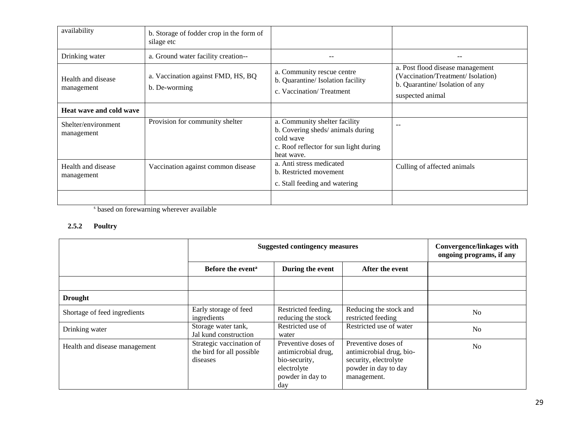| availability                      | b. Storage of fodder crop in the form of<br>silage etc |                                                                                                                                        |                                                                                                                              |
|-----------------------------------|--------------------------------------------------------|----------------------------------------------------------------------------------------------------------------------------------------|------------------------------------------------------------------------------------------------------------------------------|
| Drinking water                    | a. Ground water facility creation--                    |                                                                                                                                        |                                                                                                                              |
| Health and disease<br>management  | a. Vaccination against FMD, HS, BQ<br>b. De-worming    | a. Community rescue centre<br>b. Quarantine/Isolation facility<br>c. Vaccination/Treatment                                             | a. Post flood disease management<br>(Vaccination/Treatment/ Isolation)<br>b. Quarantine/Isolation of any<br>suspected animal |
| Heat wave and cold wave           |                                                        |                                                                                                                                        |                                                                                                                              |
| Shelter/environment<br>management | Provision for community shelter                        | a. Community shelter facility<br>b. Covering sheds/animals during<br>cold wave<br>c. Roof reflector for sun light during<br>heat wave. | $-$                                                                                                                          |
| Health and disease<br>management  | Vaccination against common disease                     | a. Anti stress medicated<br>b. Restricted movement<br>c. Stall feeding and watering                                                    | Culling of affected animals                                                                                                  |
|                                   |                                                        |                                                                                                                                        |                                                                                                                              |

<sup>s</sup> based on forewarning wherever available

#### **2.5.2 Poultry**

|                               | <b>Suggested contingency measures</b>                                |                                                                                                       |                                                                                                                 | Convergence/linkages with<br>ongoing programs, if any |
|-------------------------------|----------------------------------------------------------------------|-------------------------------------------------------------------------------------------------------|-----------------------------------------------------------------------------------------------------------------|-------------------------------------------------------|
|                               | Before the event <sup>a</sup><br>During the event<br>After the event |                                                                                                       |                                                                                                                 |                                                       |
|                               |                                                                      |                                                                                                       |                                                                                                                 |                                                       |
| <b>Drought</b>                |                                                                      |                                                                                                       |                                                                                                                 |                                                       |
| Shortage of feed ingredients  | Early storage of feed<br>ingredients                                 | Restricted feeding,<br>reducing the stock                                                             | Reducing the stock and<br>restricted feeding                                                                    | N <sub>o</sub>                                        |
| Drinking water                | Storage water tank,<br>Jal kund construction                         | Restricted use of<br>water                                                                            | Restricted use of water                                                                                         | N <sub>0</sub>                                        |
| Health and disease management | Strategic vaccination of<br>the bird for all possible<br>diseases    | Preventive doses of<br>antimicrobial drug,<br>bio-security,<br>electrolyte<br>powder in day to<br>day | Preventive doses of<br>antimicrobial drug, bio-<br>security, electrolyte<br>powder in day to day<br>management. | N <sub>o</sub>                                        |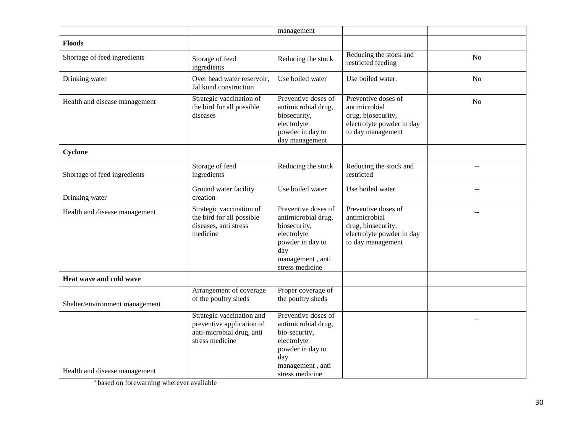|                                |                                                                                                        | management                                                                                                                                   |                                                                                                              |                |
|--------------------------------|--------------------------------------------------------------------------------------------------------|----------------------------------------------------------------------------------------------------------------------------------------------|--------------------------------------------------------------------------------------------------------------|----------------|
| <b>Floods</b>                  |                                                                                                        |                                                                                                                                              |                                                                                                              |                |
| Shortage of feed ingredients   | Storage of feed<br>ingredients                                                                         | Reducing the stock                                                                                                                           | Reducing the stock and<br>restricted feeding                                                                 | N <sub>o</sub> |
| Drinking water                 | Over head water reservoir,<br>Jal kund construction                                                    | Use boiled water                                                                                                                             | Use boiled water.                                                                                            | No             |
| Health and disease management  | Strategic vaccination of<br>the bird for all possible<br>diseases                                      | Preventive doses of<br>antimicrobial drug,<br>biosecurity,<br>electrolyte<br>powder in day to<br>day management                              | Preventive doses of<br>antimicrobial<br>drug, biosecurity,<br>electrolyte powder in day<br>to day management | N <sub>0</sub> |
| Cyclone                        |                                                                                                        |                                                                                                                                              |                                                                                                              |                |
| Shortage of feed ingredients   | Storage of feed<br>ingredients                                                                         | Reducing the stock                                                                                                                           | Reducing the stock and<br>restricted                                                                         |                |
| Drinking water                 | Ground water facility<br>creation-                                                                     | Use boiled water                                                                                                                             | Use boiled water                                                                                             |                |
| Health and disease management  | Strategic vaccination of<br>the bird for all possible<br>diseases, anti stress<br>medicine             | Preventive doses of<br>antimicrobial drug,<br>biosecurity,<br>electrolyte<br>powder in day to<br>day<br>management, anti<br>stress medicine  | Preventive doses of<br>antimicrobial<br>drug, biosecurity,<br>electrolyte powder in day<br>to day management |                |
| Heat wave and cold wave        |                                                                                                        |                                                                                                                                              |                                                                                                              |                |
| Shelter/environment management | Arrangement of coverage<br>of the poultry sheds                                                        | Proper coverage of<br>the poultry sheds                                                                                                      |                                                                                                              |                |
| Health and disease management  | Strategic vaccination and<br>preventive application of<br>anti-microbial drug, anti<br>stress medicine | Preventive doses of<br>antimicrobial drug,<br>bio-security,<br>electrolyte<br>powder in day to<br>day<br>management, anti<br>stress medicine |                                                                                                              |                |

<sup>a</sup> based on forewarning wherever available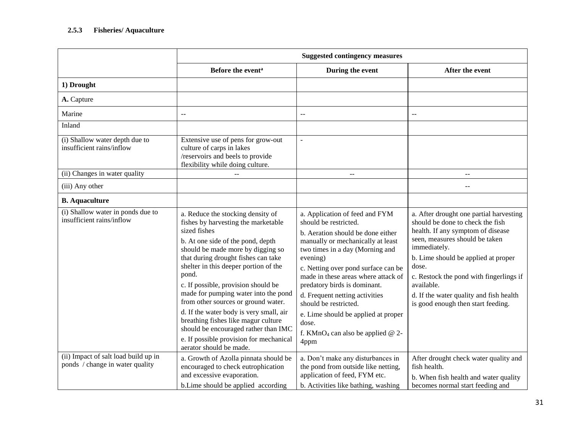#### **2.5.3 Fisheries/ Aquaculture**

|                                                                         | <b>Suggested contingency measures</b>                                                                                                                                                                                                                                                                                                                                                                                                                                                                                                                                             |                                                                                                                                                                                                                                                                                                                                                                                                                                                                      |                                                                                                                                                                                                                                                                                                                                                              |
|-------------------------------------------------------------------------|-----------------------------------------------------------------------------------------------------------------------------------------------------------------------------------------------------------------------------------------------------------------------------------------------------------------------------------------------------------------------------------------------------------------------------------------------------------------------------------------------------------------------------------------------------------------------------------|----------------------------------------------------------------------------------------------------------------------------------------------------------------------------------------------------------------------------------------------------------------------------------------------------------------------------------------------------------------------------------------------------------------------------------------------------------------------|--------------------------------------------------------------------------------------------------------------------------------------------------------------------------------------------------------------------------------------------------------------------------------------------------------------------------------------------------------------|
|                                                                         | Before the event <sup>a</sup>                                                                                                                                                                                                                                                                                                                                                                                                                                                                                                                                                     | During the event                                                                                                                                                                                                                                                                                                                                                                                                                                                     | After the event                                                                                                                                                                                                                                                                                                                                              |
| 1) Drought                                                              |                                                                                                                                                                                                                                                                                                                                                                                                                                                                                                                                                                                   |                                                                                                                                                                                                                                                                                                                                                                                                                                                                      |                                                                                                                                                                                                                                                                                                                                                              |
| A. Capture                                                              |                                                                                                                                                                                                                                                                                                                                                                                                                                                                                                                                                                                   |                                                                                                                                                                                                                                                                                                                                                                                                                                                                      |                                                                                                                                                                                                                                                                                                                                                              |
| Marine                                                                  | $-$                                                                                                                                                                                                                                                                                                                                                                                                                                                                                                                                                                               | --                                                                                                                                                                                                                                                                                                                                                                                                                                                                   | $\mathbf{u}$                                                                                                                                                                                                                                                                                                                                                 |
| Inland                                                                  |                                                                                                                                                                                                                                                                                                                                                                                                                                                                                                                                                                                   |                                                                                                                                                                                                                                                                                                                                                                                                                                                                      |                                                                                                                                                                                                                                                                                                                                                              |
| (i) Shallow water depth due to<br>insufficient rains/inflow             | Extensive use of pens for grow-out<br>culture of carps in lakes<br>/reservoirs and beels to provide<br>flexibility while doing culture.                                                                                                                                                                                                                                                                                                                                                                                                                                           | $\overline{\phantom{a}}$                                                                                                                                                                                                                                                                                                                                                                                                                                             |                                                                                                                                                                                                                                                                                                                                                              |
| (ii) Changes in water quality                                           |                                                                                                                                                                                                                                                                                                                                                                                                                                                                                                                                                                                   | --                                                                                                                                                                                                                                                                                                                                                                                                                                                                   |                                                                                                                                                                                                                                                                                                                                                              |
| (iii) Any other                                                         |                                                                                                                                                                                                                                                                                                                                                                                                                                                                                                                                                                                   |                                                                                                                                                                                                                                                                                                                                                                                                                                                                      | $\sim$ $-$                                                                                                                                                                                                                                                                                                                                                   |
| <b>B.</b> Aquaculture                                                   |                                                                                                                                                                                                                                                                                                                                                                                                                                                                                                                                                                                   |                                                                                                                                                                                                                                                                                                                                                                                                                                                                      |                                                                                                                                                                                                                                                                                                                                                              |
| (i) Shallow water in ponds due to<br>insufficient rains/inflow          | a. Reduce the stocking density of<br>fishes by harvesting the marketable<br>sized fishes<br>b. At one side of the pond, depth<br>should be made more by digging so<br>that during drought fishes can take<br>shelter in this deeper portion of the<br>pond.<br>c. If possible, provision should be<br>made for pumping water into the pond<br>from other sources or ground water.<br>d. If the water body is very small, air<br>breathing fishes like magur culture<br>should be encouraged rather than IMC<br>e. If possible provision for mechanical<br>aerator should be made. | a. Application of feed and FYM<br>should be restricted.<br>b. Aeration should be done either<br>manually or mechanically at least<br>two times in a day (Morning and<br>evening)<br>c. Netting over pond surface can be<br>made in these areas where attack of<br>predatory birds is dominant.<br>d. Frequent netting activities<br>should be restricted.<br>e. Lime should be applied at proper<br>dose.<br>f. KMnO <sub>4</sub> can also be applied $@$ 2-<br>4ppm | a. After drought one partial harvesting<br>should be done to check the fish<br>health. If any symptom of disease<br>seen, measures should be taken<br>immediately.<br>b. Lime should be applied at proper<br>dose.<br>c. Restock the pond with fingerlings if<br>available.<br>d. If the water quality and fish health<br>is good enough then start feeding. |
| (ii) Impact of salt load build up in<br>ponds / change in water quality | a. Growth of Azolla pinnata should be<br>encouraged to check eutrophication<br>and excessive evaporation.<br>b. Lime should be applied according                                                                                                                                                                                                                                                                                                                                                                                                                                  | a. Don't make any disturbances in<br>the pond from outside like netting,<br>application of feed, FYM etc.<br>b. Activities like bathing, washing                                                                                                                                                                                                                                                                                                                     | After drought check water quality and<br>fish health.<br>b. When fish health and water quality<br>becomes normal start feeding and                                                                                                                                                                                                                           |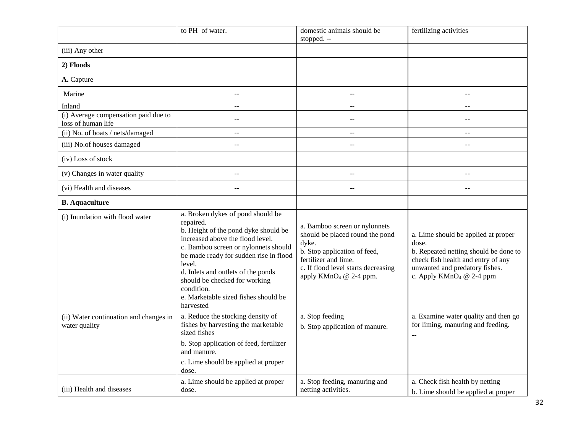|                                                            | to PH of water.                                                                                                                                                                                                                                                                                                                                                  | domestic animals should be<br>stopped. --                                                                                                                                                            | fertilizing activities                                                                                                                                                                                |
|------------------------------------------------------------|------------------------------------------------------------------------------------------------------------------------------------------------------------------------------------------------------------------------------------------------------------------------------------------------------------------------------------------------------------------|------------------------------------------------------------------------------------------------------------------------------------------------------------------------------------------------------|-------------------------------------------------------------------------------------------------------------------------------------------------------------------------------------------------------|
| (iii) Any other                                            |                                                                                                                                                                                                                                                                                                                                                                  |                                                                                                                                                                                                      |                                                                                                                                                                                                       |
| 2) Floods                                                  |                                                                                                                                                                                                                                                                                                                                                                  |                                                                                                                                                                                                      |                                                                                                                                                                                                       |
| A. Capture                                                 |                                                                                                                                                                                                                                                                                                                                                                  |                                                                                                                                                                                                      |                                                                                                                                                                                                       |
| Marine                                                     | $\frac{1}{2}$                                                                                                                                                                                                                                                                                                                                                    | $-$                                                                                                                                                                                                  | $-$                                                                                                                                                                                                   |
| Inland                                                     | $\sim$ $\sim$                                                                                                                                                                                                                                                                                                                                                    | $\sim$ $\sim$                                                                                                                                                                                        | $\mathcal{L} =$                                                                                                                                                                                       |
| (i) Average compensation paid due to<br>loss of human life | $\sim$ $\sim$                                                                                                                                                                                                                                                                                                                                                    | $-$                                                                                                                                                                                                  | $- -$                                                                                                                                                                                                 |
| (ii) No. of boats / nets/damaged                           | $-$                                                                                                                                                                                                                                                                                                                                                              | $-$                                                                                                                                                                                                  | $\overline{a}$                                                                                                                                                                                        |
| (iii) No.of houses damaged                                 | $-$                                                                                                                                                                                                                                                                                                                                                              | $\overline{a}$                                                                                                                                                                                       | $\sim$                                                                                                                                                                                                |
| (iv) Loss of stock                                         |                                                                                                                                                                                                                                                                                                                                                                  |                                                                                                                                                                                                      |                                                                                                                                                                                                       |
| (v) Changes in water quality                               | $\overline{a}$                                                                                                                                                                                                                                                                                                                                                   | $\sim$                                                                                                                                                                                               | $\overline{a}$                                                                                                                                                                                        |
| (vi) Health and diseases                                   | $\sim$                                                                                                                                                                                                                                                                                                                                                           |                                                                                                                                                                                                      |                                                                                                                                                                                                       |
| <b>B.</b> Aquaculture                                      |                                                                                                                                                                                                                                                                                                                                                                  |                                                                                                                                                                                                      |                                                                                                                                                                                                       |
| (i) Inundation with flood water                            | a. Broken dykes of pond should be<br>repaired.<br>b. Height of the pond dyke should be<br>increased above the flood level.<br>c. Bamboo screen or nylonnets should<br>be made ready for sudden rise in flood<br>level.<br>d. Inlets and outlets of the ponds<br>should be checked for working<br>condition.<br>e. Marketable sized fishes should be<br>harvested | a. Bamboo screen or nylonnets<br>should be placed round the pond<br>dyke.<br>b. Stop application of feed,<br>fertilizer and lime.<br>c. If flood level starts decreasing<br>apply $KMnO4 @ 2-4 ppm.$ | a. Lime should be applied at proper<br>dose.<br>b. Repeated netting should be done to<br>check fish health and entry of any<br>unwanted and predatory fishes.<br>c. Apply KMnO <sub>4</sub> @ 2-4 ppm |
| (ii) Water continuation and changes in<br>water quality    | a. Reduce the stocking density of<br>fishes by harvesting the marketable<br>sized fishes<br>b. Stop application of feed, fertilizer<br>and manure.<br>c. Lime should be applied at proper<br>dose.                                                                                                                                                               | a. Stop feeding<br>b. Stop application of manure.                                                                                                                                                    | a. Examine water quality and then go<br>for liming, manuring and feeding.<br>$\sim$                                                                                                                   |
| (iii) Health and diseases                                  | a. Lime should be applied at proper<br>dose.                                                                                                                                                                                                                                                                                                                     | a. Stop feeding, manuring and<br>netting activities.                                                                                                                                                 | a. Check fish health by netting<br>b. Lime should be applied at proper                                                                                                                                |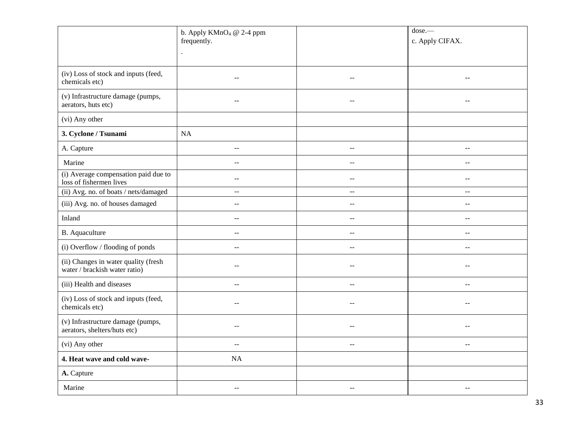|                                                                       | b. Apply KMnO <sub>4</sub> @ 2-4 ppm          |                | dose.-                  |
|-----------------------------------------------------------------------|-----------------------------------------------|----------------|-------------------------|
|                                                                       | frequently.                                   |                | c. Apply CIFAX.         |
|                                                                       |                                               |                |                         |
| (iv) Loss of stock and inputs (feed,<br>chemicals etc)                | $-$                                           | $-$            | $\sim$ $\sim$           |
| (v) Infrastructure damage (pumps,<br>aerators, huts etc)              | $\overline{a}$                                | $\sim$         |                         |
| (vi) Any other                                                        |                                               |                |                         |
| 3. Cyclone / Tsunami                                                  | NA                                            |                |                         |
| A. Capture                                                            | $\overline{a}$                                | $\overline{a}$ | $\overline{a}$          |
| Marine                                                                | $-$                                           | $\sim$         | $-$                     |
| (i) Average compensation paid due to<br>loss of fishermen lives       | $-$                                           | $\sim$         | --                      |
| (ii) Avg. no. of boats / nets/damaged                                 | $\mathbf{u}$                                  | $-$            | $\mathbb{L} \mathbb{L}$ |
| (iii) Avg. no. of houses damaged                                      | $\mathord{\hspace{1pt}\text{--}\hspace{1pt}}$ | $\overline{a}$ | $\overline{a}$          |
| Inland                                                                | $\sim$ $\sim$                                 | $-$            | $\sim$ $\sim$           |
| B. Aquaculture                                                        | $-$                                           | $\overline{a}$ | $\sim$                  |
| (i) Overflow / flooding of ponds                                      | $\sim$                                        | $-$            | $\sim$ $\sim$           |
| (ii) Changes in water quality (fresh<br>water / brackish water ratio) | $\overline{a}$                                | --             | --                      |
| (iii) Health and diseases                                             | $\sim$ $\sim$                                 | $-$            | $\sim$ $\sim$           |
| (iv) Loss of stock and inputs (feed,<br>chemicals etc)                | $\sim$                                        | $-$            | $\sim$                  |
| (v) Infrastructure damage (pumps,<br>aerators, shelters/huts etc)     | $\mathord{\hspace{1pt}\text{--}\hspace{1pt}}$ | $-$            | $-$                     |
| (vi) Any other                                                        | $\overline{\phantom{m}}$                      | --             | $ -$                    |
| 4. Heat wave and cold wave-                                           | <b>NA</b>                                     |                |                         |
| A. Capture                                                            |                                               |                |                         |
| Marine                                                                | $\sim$ $\sim$                                 | $-$            | $-$                     |